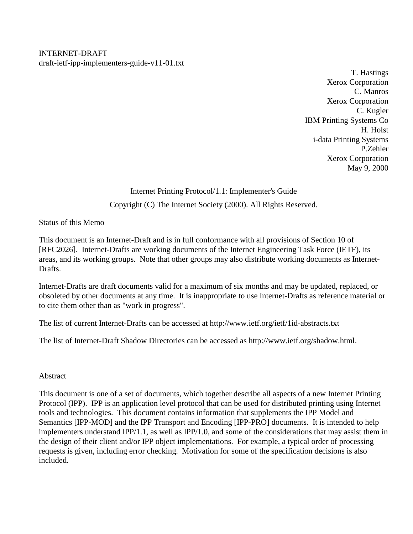T. Hastings Xerox Corporation C. Manros Xerox Corporation C. Kugler IBM Printing Systems Co H. Holst i-data Printing Systems P.Zehler Xerox Corporation May 9, 2000

# Internet Printing Protocol/1.1: Implementer's Guide Copyright (C) The Internet Society (2000). All Rights Reserved.

Status of this Memo

This document is an Internet-Draft and is in full conformance with all provisions of Section 10 of [RFC2026]. Internet-Drafts are working documents of the Internet Engineering Task Force (IETF), its areas, and its working groups. Note that other groups may also distribute working documents as Internet-Drafts.

Internet-Drafts are draft documents valid for a maximum of six months and may be updated, replaced, or obsoleted by other documents at any time. It is inappropriate to use Internet-Drafts as reference material or to cite them other than as "work in progress".

The list of current Internet-Drafts can be accessed at http://www.ietf.org/ietf/1id-abstracts.txt

The list of Internet-Draft Shadow Directories can be accessed as http://www.ietf.org/shadow.html.

# Abstract

This document is one of a set of documents, which together describe all aspects of a new Internet Printing Protocol (IPP). IPP is an application level protocol that can be used for distributed printing using Internet tools and technologies. This document contains information that supplements the IPP Model and Semantics [IPP-MOD] and the IPP Transport and Encoding [IPP-PRO] documents. It is intended to help implementers understand IPP/1.1, as well as IPP/1.0, and some of the considerations that may assist them in the design of their client and/or IPP object implementations. For example, a typical order of processing requests is given, including error checking. Motivation for some of the specification decisions is also included.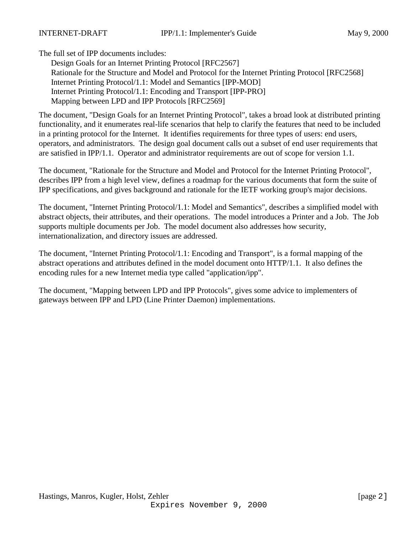The full set of IPP documents includes:

Design Goals for an Internet Printing Protocol [RFC2567] Rationale for the Structure and Model and Protocol for the Internet Printing Protocol [RFC2568] Internet Printing Protocol/1.1: Model and Semantics [IPP-MOD] Internet Printing Protocol/1.1: Encoding and Transport [IPP-PRO] Mapping between LPD and IPP Protocols [RFC2569]

The document, "Design Goals for an Internet Printing Protocol", takes a broad look at distributed printing functionality, and it enumerates real-life scenarios that help to clarify the features that need to be included in a printing protocol for the Internet. It identifies requirements for three types of users: end users, operators, and administrators. The design goal document calls out a subset of end user requirements that are satisfied in IPP/1.1. Operator and administrator requirements are out of scope for version 1.1.

The document, "Rationale for the Structure and Model and Protocol for the Internet Printing Protocol", describes IPP from a high level view, defines a roadmap for the various documents that form the suite of IPP specifications, and gives background and rationale for the IETF working group's major decisions.

The document, "Internet Printing Protocol/1.1: Model and Semantics", describes a simplified model with abstract objects, their attributes, and their operations. The model introduces a Printer and a Job. The Job supports multiple documents per Job. The model document also addresses how security, internationalization, and directory issues are addressed.

The document, "Internet Printing Protocol/1.1: Encoding and Transport", is a formal mapping of the abstract operations and attributes defined in the model document onto HTTP/1.1. It also defines the encoding rules for a new Internet media type called "application/ipp".

The document, "Mapping between LPD and IPP Protocols", gives some advice to implementers of gateways between IPP and LPD (Line Printer Daemon) implementations.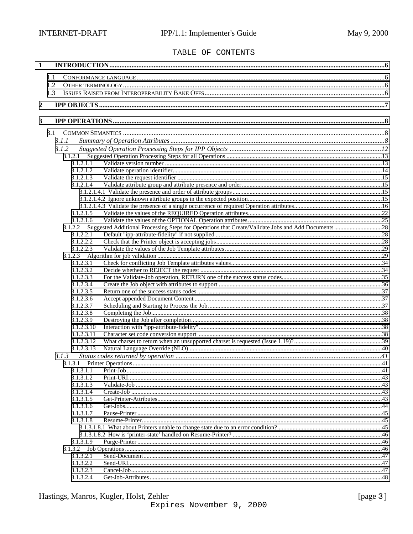# TABLE OF CONTENTS

| 1                |     |                        |  |
|------------------|-----|------------------------|--|
|                  | 1.1 |                        |  |
|                  | 1.2 |                        |  |
|                  | 1.3 |                        |  |
|                  |     |                        |  |
| $\boldsymbol{2}$ |     |                        |  |
| $\mathbf{3}$     |     |                        |  |
|                  | 3.1 |                        |  |
|                  |     | 3.1.1                  |  |
|                  |     | 3.1.2                  |  |
|                  |     |                        |  |
|                  |     | 3.1.2.1.1              |  |
|                  |     | 3.1.2.1.2              |  |
|                  |     | 3.1.2.1.3              |  |
|                  |     | 3.1.2.1.4              |  |
|                  |     |                        |  |
|                  |     |                        |  |
|                  |     |                        |  |
|                  |     | 3.1.2.1.5              |  |
|                  |     | 3.1.2.1.6              |  |
|                  |     |                        |  |
|                  |     | 3.1.2.2.1              |  |
|                  |     | 3.1.2.2.2              |  |
|                  |     | 3.1.2.2.3              |  |
|                  |     | 3.1.2.3.1              |  |
|                  |     | 3.1.2.3.2              |  |
|                  |     | 3.1.2.3.3              |  |
|                  |     | 3.1.2.3.4              |  |
|                  |     | 3.1.2.3.5              |  |
|                  |     | 3.1.2.3.6              |  |
|                  |     | 3.1.2.3.7              |  |
|                  |     | 3.1.2.3.8              |  |
|                  |     | 3.1.2.3.9              |  |
|                  |     | 3.1.2.3.10             |  |
|                  |     | 3.1.2.3.11             |  |
|                  |     | 3.1.2.3.12             |  |
|                  |     | 3.1.2.3.13             |  |
|                  |     | 3.1.3                  |  |
|                  |     |                        |  |
|                  |     | 3.1.3.1.1              |  |
|                  |     | 3.1.3.1.2              |  |
|                  |     | 3.1.3.1.3<br>3.1.3.1.4 |  |
|                  |     | 3.1.3.1.5              |  |
|                  |     | 3.1.3.1.6              |  |
|                  |     | 3.1.3.1.7              |  |
|                  |     | 3.1.3.1.8              |  |
|                  |     |                        |  |
|                  |     |                        |  |
|                  |     | 3.1.3.1.9              |  |
|                  |     |                        |  |
|                  |     | 3.1.3.2.1              |  |
|                  |     | 3.1.3.2.2              |  |
|                  |     | 3.1.3.2.3              |  |
|                  |     | 3.1.3.2.4              |  |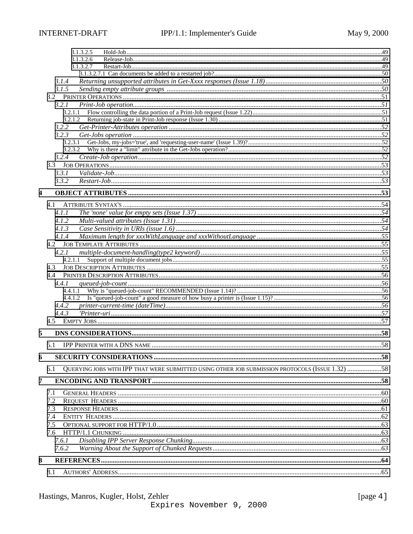|                         | 3.1.3.2.5                                                                                              |  |
|-------------------------|--------------------------------------------------------------------------------------------------------|--|
|                         | 3.1.3.2.6                                                                                              |  |
|                         | 3.1.3.2.7                                                                                              |  |
|                         |                                                                                                        |  |
|                         | 3.1.4                                                                                                  |  |
|                         | 3.1.5                                                                                                  |  |
|                         | 3.2.1                                                                                                  |  |
|                         | 3.2.1.1                                                                                                |  |
|                         | 3.2.1.2                                                                                                |  |
|                         | 3.2.2                                                                                                  |  |
|                         | 3.2.3                                                                                                  |  |
|                         | 3.2.3.1                                                                                                |  |
|                         | 3.2.3.2                                                                                                |  |
|                         | 3.2.4                                                                                                  |  |
|                         | 3.3                                                                                                    |  |
|                         | 3.3.1                                                                                                  |  |
|                         | 3.3.2                                                                                                  |  |
| $\overline{\mathbf{4}}$ |                                                                                                        |  |
|                         | 4.1                                                                                                    |  |
|                         | 4.1.1                                                                                                  |  |
|                         | 4.1.2                                                                                                  |  |
|                         | 4.1.3                                                                                                  |  |
|                         | 4.1.4                                                                                                  |  |
|                         |                                                                                                        |  |
|                         | 4.2.1                                                                                                  |  |
|                         | 4.2.1.1                                                                                                |  |
|                         | 4.3                                                                                                    |  |
|                         | 4.4                                                                                                    |  |
|                         | 4.4.1                                                                                                  |  |
|                         | 4.4.1.1                                                                                                |  |
|                         | 4.4.1.2<br>4.4.2                                                                                       |  |
|                         | 4.4.3                                                                                                  |  |
|                         |                                                                                                        |  |
|                         |                                                                                                        |  |
| 5                       |                                                                                                        |  |
|                         | 5.1                                                                                                    |  |
| 6                       |                                                                                                        |  |
|                         | QUERYING JOBS WITH IPP THAT WERE SUBMITTED USING OTHER JOB SUBMISSION PROTOCOLS (ISSUE 1.32) 58<br>6.1 |  |
| 7                       |                                                                                                        |  |
|                         |                                                                                                        |  |
|                         | 7.1                                                                                                    |  |
|                         | 7.2                                                                                                    |  |
|                         | 7.3                                                                                                    |  |
|                         | 7.4                                                                                                    |  |
|                         | 7.5                                                                                                    |  |
|                         | 7.6<br>7.6.1                                                                                           |  |
|                         | 7.6.2                                                                                                  |  |
|                         |                                                                                                        |  |
| 8                       |                                                                                                        |  |
|                         | 8.1                                                                                                    |  |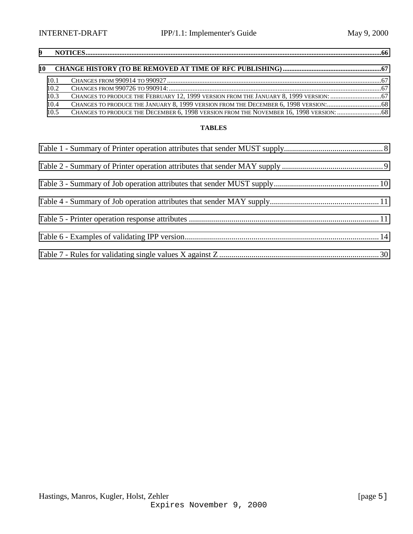| -10- |      |                                                                                        |  |
|------|------|----------------------------------------------------------------------------------------|--|
|      | 10.1 |                                                                                        |  |
|      | 10.2 |                                                                                        |  |
|      | 10.3 |                                                                                        |  |
|      | 10.4 | CHANGES TO PRODUCE THE JANUARY 8, 1999 VERSION FROM THE DECEMBER 6, 1998 VERSION:68    |  |
|      | 10.5 | CHANGES TO PRODUCE THE DECEMBER 6, 1998 VERSION FROM THE NOVEMBER 16, 1998 VERSION: 68 |  |

#### **TABLES**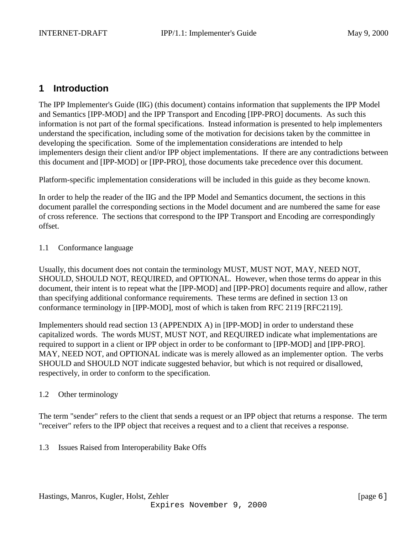# <span id="page-5-0"></span>**1 Introduction**

The IPP Implementer's Guide (IIG) (this document) contains information that supplements the IPP Model and Semantics [IPP-MOD] and the IPP Transport and Encoding [IPP-PRO] documents. As such this information is not part of the formal specifications. Instead information is presented to help implementers understand the specification, including some of the motivation for decisions taken by the committee in developing the specification. Some of the implementation considerations are intended to help implementers design their client and/or IPP object implementations. If there are any contradictions between this document and [IPP-MOD] or [IPP-PRO], those documents take precedence over this document.

Platform-specific implementation considerations will be included in this guide as they become known.

In order to help the reader of the IIG and the IPP Model and Semantics document, the sections in this document parallel the corresponding sections in the Model document and are numbered the same for ease of cross reference. The sections that correspond to the IPP Transport and Encoding are correspondingly offset.

## 1.1 Conformance language

Usually, this document does not contain the terminology MUST, MUST NOT, MAY, NEED NOT, SHOULD, SHOULD NOT, REQUIRED, and OPTIONAL. However, when those terms do appear in this document, their intent is to repeat what the [IPP-MOD] and [IPP-PRO] documents require and allow, rather than specifying additional conformance requirements. These terms are defined in section 13 on conformance terminology in [IPP-MOD], most of which is taken from RFC 2119 [RFC2119].

Implementers should read section 13 (APPENDIX A) in [IPP-MOD] in order to understand these capitalized words. The words MUST, MUST NOT, and REQUIRED indicate what implementations are required to support in a client or IPP object in order to be conformant to [IPP-MOD] and [IPP-PRO]. MAY, NEED NOT, and OPTIONAL indicate was is merely allowed as an implementer option. The verbs SHOULD and SHOULD NOT indicate suggested behavior, but which is not required or disallowed, respectively, in order to conform to the specification.

# 1.2 Other terminology

The term "sender" refers to the client that sends a request or an IPP object that returns a response. The term "receiver" refers to the IPP object that receives a request and to a client that receives a response.

1.3 Issues Raised from Interoperability Bake Offs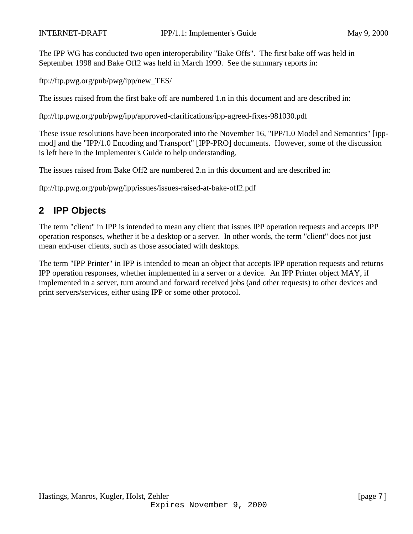<span id="page-6-0"></span>The IPP WG has conducted two open interoperability "Bake Offs". The first bake off was held in September 1998 and Bake Off2 was held in March 1999. See the summary reports in:

ftp://ftp.pwg.org/pub/pwg/ipp/new\_TES/

The issues raised from the first bake off are numbered 1.n in this document and are described in:

ftp://ftp.pwg.org/pub/pwg/ipp/approved-clarifications/ipp-agreed-fixes-981030.pdf

These issue resolutions have been incorporated into the November 16, "IPP/1.0 Model and Semantics" [ippmod] and the "IPP/1.0 Encoding and Transport" [IPP-PRO] documents. However, some of the discussion is left here in the Implementer's Guide to help understanding.

The issues raised from Bake Off2 are numbered 2.n in this document and are described in:

ftp://ftp.pwg.org/pub/pwg/ipp/issues/issues-raised-at-bake-off2.pdf

# **2 IPP Objects**

The term "client" in IPP is intended to mean any client that issues IPP operation requests and accepts IPP operation responses, whether it be a desktop or a server. In other words, the term "client" does not just mean end-user clients, such as those associated with desktops.

The term "IPP Printer" in IPP is intended to mean an object that accepts IPP operation requests and returns IPP operation responses, whether implemented in a server or a device. An IPP Printer object MAY, if implemented in a server, turn around and forward received jobs (and other requests) to other devices and print servers/services, either using IPP or some other protocol.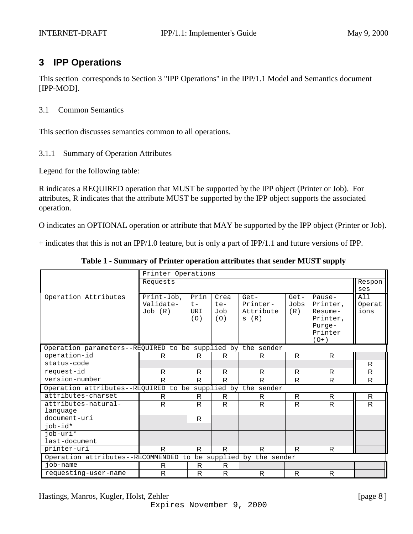# <span id="page-7-0"></span>**3 IPP Operations**

This section corresponds to Section 3 "IPP Operations" in the IPP/1.1 Model and Semantics document [IPP-MOD].

3.1 Common Semantics

This section discusses semantics common to all operations.

3.1.1 Summary of Operation Attributes

Legend for the following table:

R indicates a REQUIRED operation that MUST be supported by the IPP object (Printer or Job). For attributes, R indicates that the attribute MUST be supported by the IPP object supports the associated operation.

O indicates an OPTIONAL operation or attribute that MAY be supported by the IPP object (Printer or Job).

+ indicates that this is not an IPP/1.0 feature, but is only a part of IPP/1.1 and future versions of IPP.

| Table 1 - Summary of Printer operation attributes that sender MUST supply |
|---------------------------------------------------------------------------|
|---------------------------------------------------------------------------|

|                                                                | Printer Operations                                          |                             |                             |                                         |                       |                                                                          |                       |  |
|----------------------------------------------------------------|-------------------------------------------------------------|-----------------------------|-----------------------------|-----------------------------------------|-----------------------|--------------------------------------------------------------------------|-----------------------|--|
|                                                                | Requests                                                    |                             |                             |                                         |                       |                                                                          | Respon<br>ses         |  |
| Operation Attributes                                           | Print-Job,<br>Validate-<br>Job (R)                          | Prin<br>$t -$<br>URI<br>(O) | Crea<br>$te-$<br>Job<br>(0) | $Get-$<br>Printer-<br>Attribute<br>s(R) | $Get-$<br>Jobs<br>(R) | Pause-<br>Printer,<br>Resume-<br>Printer,<br>Purge-<br>Printer<br>$(0+)$ | All<br>Operat<br>ions |  |
|                                                                | Operation parameters--REQUIRED to be supplied by the sender |                             |                             |                                         |                       |                                                                          |                       |  |
| operation-id                                                   | R                                                           | R                           | R                           | R                                       | R.                    | $\mathsf{R}$                                                             |                       |  |
| status-code                                                    |                                                             |                             |                             |                                         |                       |                                                                          | R                     |  |
| request-id                                                     | $\mathsf{R}$                                                | R                           | R                           | R                                       | R.                    | R                                                                        | $\mathsf{R}$          |  |
| version-number                                                 | $\mathsf{R}$                                                | R.                          | R                           | R                                       | R.                    | R                                                                        | $\mathsf{R}$          |  |
| Operation attributes--REQUIRED to be supplied by the sender    |                                                             |                             |                             |                                         |                       |                                                                          |                       |  |
| attributes-charset                                             | R                                                           | R                           | R                           | R                                       | R.                    | R                                                                        | R.                    |  |
| attributes-natural-<br>language                                | R                                                           | R                           | R                           | R                                       | R                     | R                                                                        | R                     |  |
| document-uri                                                   |                                                             | R                           |                             |                                         |                       |                                                                          |                       |  |
| job-id*                                                        |                                                             |                             |                             |                                         |                       |                                                                          |                       |  |
| job-uri*                                                       |                                                             |                             |                             |                                         |                       |                                                                          |                       |  |
| last-document                                                  |                                                             |                             |                             |                                         |                       |                                                                          |                       |  |
| printer-uri                                                    | R                                                           | R                           | R.                          | R                                       | R                     | R                                                                        |                       |  |
| Operation attributes--RECOMMENDED to be supplied by the sender |                                                             |                             |                             |                                         |                       |                                                                          |                       |  |
| job-name                                                       | R                                                           | R                           | R.                          |                                         |                       |                                                                          |                       |  |
| requesting-user-name                                           | $\mathsf{R}$                                                | R                           | $\mathsf{R}$                | $\mathsf{R}$                            | $\mathsf{R}$          | $\mathsf{R}$                                                             |                       |  |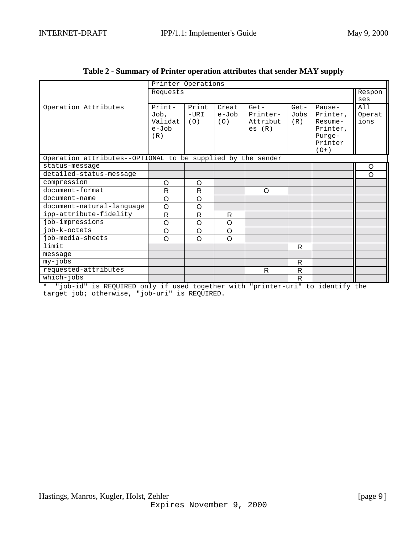<span id="page-8-0"></span>

|                                                             | Printer Operations                           |                        |                       |                                                             |                       |                                                                          |                       |
|-------------------------------------------------------------|----------------------------------------------|------------------------|-----------------------|-------------------------------------------------------------|-----------------------|--------------------------------------------------------------------------|-----------------------|
|                                                             | Requests                                     |                        |                       |                                                             |                       |                                                                          |                       |
| Operation Attributes                                        | Print-<br>Job,<br>Validat<br>$e$ -Job<br>(R) | Print<br>$-URI$<br>(0) | Creat<br>e-Job<br>(O) | $Get-$<br>Printer-<br>Attribut<br>$\mathsf{es}(\mathsf{R})$ | $Get-$<br>Jobs<br>(R) | Pause-<br>Printer,<br>Resume-<br>Printer,<br>Purge-<br>Printer<br>$(0+)$ | All<br>Operat<br>ions |
| Operation attributes--OPTIONAL to be supplied by the sender |                                              |                        |                       |                                                             |                       |                                                                          |                       |
| status-message                                              |                                              |                        |                       |                                                             |                       |                                                                          | O                     |
| detailed-status-message                                     |                                              |                        |                       |                                                             |                       |                                                                          | $\Omega$              |
| compression                                                 | O                                            | O                      |                       |                                                             |                       |                                                                          |                       |
| document-format                                             | $\mathsf{R}$                                 | R                      |                       | O                                                           |                       |                                                                          |                       |
| document-name                                               | O                                            | O                      |                       |                                                             |                       |                                                                          |                       |
| document-natural-language                                   | $\overline{O}$                               | O                      |                       |                                                             |                       |                                                                          |                       |
| ipp-attribute-fidelity                                      | $\mathsf{R}$                                 | R                      | R                     |                                                             |                       |                                                                          |                       |
| job-impressions                                             | $\circ$                                      | O                      | O                     |                                                             |                       |                                                                          |                       |
| job-k-octets                                                | $\circ$                                      | $\circ$                | $\circ$               |                                                             |                       |                                                                          |                       |
| job-media-sheets                                            | $\Omega$                                     | $\Omega$               | $\Omega$              |                                                             |                       |                                                                          |                       |
| limit                                                       |                                              |                        |                       |                                                             | R                     |                                                                          |                       |
| message                                                     |                                              |                        |                       |                                                             |                       |                                                                          |                       |
| my-jobs                                                     |                                              |                        |                       |                                                             | $\mathsf{R}$          |                                                                          |                       |
| requested-attributes                                        |                                              |                        |                       | R                                                           | $\mathsf{R}$          |                                                                          |                       |
| which-jobs                                                  |                                              |                        |                       |                                                             | $\mathsf{R}$          |                                                                          |                       |

**Table 2 - Summary of Printer operation attributes that sender MAY supply**

\* "job-id" is REQUIRED only if used together with "printer-uri" to identify the target job; otherwise, "job-uri" is REQUIRED.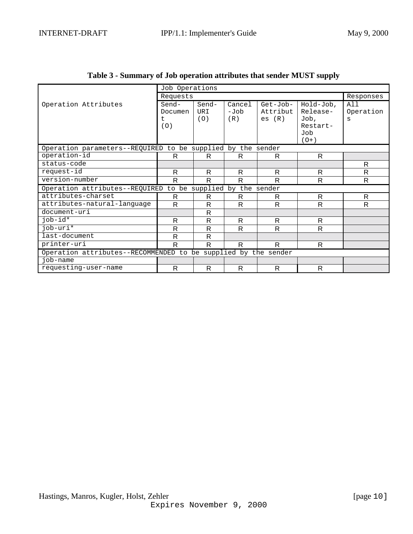<span id="page-9-0"></span>

|                                                                | Job Operations                |                     |                         |                               |                                                                   |                       |  |  |
|----------------------------------------------------------------|-------------------------------|---------------------|-------------------------|-------------------------------|-------------------------------------------------------------------|-----------------------|--|--|
|                                                                | Requests                      | Responses           |                         |                               |                                                                   |                       |  |  |
| Operation Attributes                                           | Send-<br>Documen<br>t.<br>(O) | Send-<br>URI<br>(0) | Cancel<br>$-Job$<br>(R) | Get-Job-<br>Attribut<br>es(R) | Hold-Job,<br>Release-<br>Job,<br>Restart-<br><b>Job</b><br>$(0+)$ | All<br>Operation<br>S |  |  |
| Operation parameters--REQUIRED to be supplied by the sender    |                               |                     |                         |                               |                                                                   |                       |  |  |
| operation-id                                                   | R                             | R.                  | R                       | R                             | R                                                                 |                       |  |  |
| status-code                                                    |                               |                     |                         |                               |                                                                   | R                     |  |  |
| request-id                                                     | R                             | $\mathsf{R}$        | R                       | R                             | $\mathsf{R}$                                                      | $\mathsf{R}$          |  |  |
| version-number                                                 | R                             | $\mathsf{R}$        | R                       | R                             | R                                                                 | R                     |  |  |
| Operation attributes--REQUIRED to be supplied by the sender    |                               |                     |                         |                               |                                                                   |                       |  |  |
| attributes-charset                                             | R                             | R                   | R                       | R                             | $\mathsf{R}$                                                      | R                     |  |  |
| attributes-natural-language                                    | R                             | R                   | R                       | R                             | R                                                                 | R                     |  |  |
| document-uri                                                   |                               | $\mathsf{R}$        |                         |                               |                                                                   |                       |  |  |
| job-id*                                                        | R                             | $\mathsf{R}$        | R                       | R                             | R                                                                 |                       |  |  |
| job-uri*                                                       | R                             | $\mathsf{R}$        | R                       | R                             | R                                                                 |                       |  |  |
| last-document                                                  | R                             | R                   |                         |                               |                                                                   |                       |  |  |
| printer-uri                                                    | $\mathsf{R}$                  | R                   | R.                      | R                             | $\mathsf{R}$                                                      |                       |  |  |
| Operation attributes--RECOMMENDED to be supplied by the sender |                               |                     |                         |                               |                                                                   |                       |  |  |
| iob-name                                                       |                               |                     |                         |                               |                                                                   |                       |  |  |
| requesting-user-name                                           | R                             | R                   | R.                      | R.                            | R                                                                 |                       |  |  |

# **Table 3 - Summary of Job operation attributes that sender MUST supply**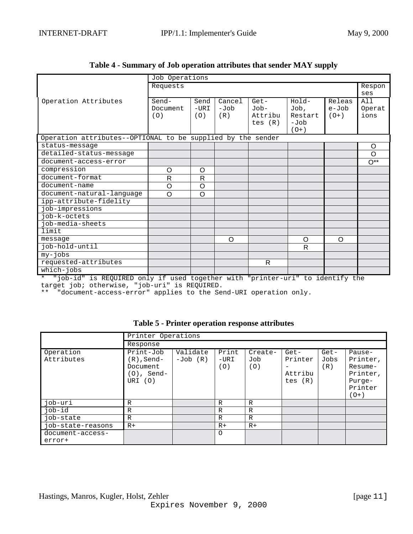# **Table 4 - Summary of Job operation attributes that sender MAY supply**

<span id="page-10-0"></span>

|                                                             | Job Operations |          |        |         |                |          |          |  |
|-------------------------------------------------------------|----------------|----------|--------|---------|----------------|----------|----------|--|
|                                                             | Requests       |          |        |         |                |          |          |  |
|                                                             |                |          |        |         |                |          | ses      |  |
| Operation Attributes                                        | Send-          | Send     | Cancel | $Get-$  | Hold-          | Releas   | A11      |  |
|                                                             | Document       | $-IJRI$  | $-Job$ | $Job-$  | Job,           | $e$ -Job | Operat   |  |
|                                                             | (0)            | (0)      | (R)    | Attribu | Restart        | $(O+)$   | ions     |  |
|                                                             |                |          |        | tes (R) | -Job<br>$(0+)$ |          |          |  |
| Operation attributes--OPTIONAL to be supplied by the sender |                |          |        |         |                |          |          |  |
| status-message                                              |                |          |        |         |                |          | O        |  |
|                                                             |                |          |        |         |                |          |          |  |
| detailed-status-message                                     |                |          |        |         |                |          | $\Omega$ |  |
| document-access-error                                       |                |          |        |         |                |          | $O^{**}$ |  |
| compression                                                 | O              | $\Omega$ |        |         |                |          |          |  |
| document-format                                             | R              | R        |        |         |                |          |          |  |
| document-name                                               | $\circ$        | $\circ$  |        |         |                |          |          |  |
| document-natural-language                                   | $\Omega$       | $\Omega$ |        |         |                |          |          |  |
| ipp-attribute-fidelity                                      |                |          |        |         |                |          |          |  |
| job-impressions                                             |                |          |        |         |                |          |          |  |
| job-k-octets                                                |                |          |        |         |                |          |          |  |
| job-media-sheets                                            |                |          |        |         |                |          |          |  |
| limit                                                       |                |          |        |         |                |          |          |  |
| message                                                     |                |          | Ω      |         | $\Omega$       | $\Omega$ |          |  |
| job-hold-until                                              |                |          |        |         | R              |          |          |  |
| my-jobs                                                     |                |          |        |         |                |          |          |  |
| requested-attributes                                        |                |          |        | R       |                |          |          |  |
| which-jobs                                                  |                |          |        |         |                |          |          |  |

\* "job-id" is REQUIRED only if used together with "printer-uri" to identify the target job; otherwise, "job-uri" is REQUIRED.

\*\* "document-access-error" applies to the Send-URI operation only.

|                            | Printer Operations                                                   |                        |                              |                       |                                           |                       |                                                                          |  |
|----------------------------|----------------------------------------------------------------------|------------------------|------------------------------|-----------------------|-------------------------------------------|-----------------------|--------------------------------------------------------------------------|--|
|                            | Response                                                             |                        |                              |                       |                                           |                       |                                                                          |  |
| Operation<br>Attributes    | Print-Job<br>$(R)$ , Send-<br>Document<br>$(0)$ , Send-<br>URI $(0)$ | Validate<br>$-Job (R)$ | Print<br>$-URI$<br>$\circ$ ) | Create-<br>Job<br>(0) | $Get-$<br>Printer<br>Attribu<br>tes $(R)$ | $Get-$<br>Jobs<br>(R) | Pause-<br>Printer,<br>Resume-<br>Printer,<br>Purge-<br>Printer<br>$(0+)$ |  |
| job-uri                    | $\mathbb{R}$                                                         |                        | $\mathbb{R}$                 | $\mathbb R$           |                                           |                       |                                                                          |  |
| $job-id$                   | $\mathbb{R}$                                                         |                        | $\mathbb{R}$                 | $\mathbb{R}$          |                                           |                       |                                                                          |  |
| job-state                  | $\mathbb{R}$                                                         |                        | R                            | $\mathbb{R}$          |                                           |                       |                                                                          |  |
| job-state-reasons          | $R+$                                                                 |                        | $R+$                         | $R+$                  |                                           |                       |                                                                          |  |
| document-access-<br>error+ |                                                                      |                        | $\Omega$                     |                       |                                           |                       |                                                                          |  |

# **Table 5 - Printer operation response attributes**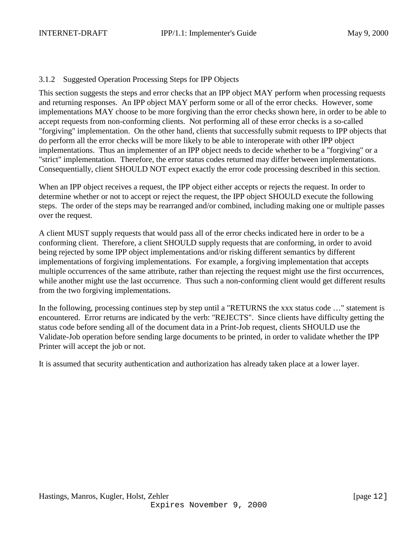# <span id="page-11-0"></span>3.1.2 Suggested Operation Processing Steps for IPP Objects

This section suggests the steps and error checks that an IPP object MAY perform when processing requests and returning responses. An IPP object MAY perform some or all of the error checks. However, some implementations MAY choose to be more forgiving than the error checks shown here, in order to be able to accept requests from non-conforming clients. Not performing all of these error checks is a so-called "forgiving" implementation. On the other hand, clients that successfully submit requests to IPP objects that do perform all the error checks will be more likely to be able to interoperate with other IPP object implementations. Thus an implementer of an IPP object needs to decide whether to be a "forgiving" or a "strict" implementation. Therefore, the error status codes returned may differ between implementations. Consequentially, client SHOULD NOT expect exactly the error code processing described in this section.

When an IPP object receives a request, the IPP object either accepts or rejects the request. In order to determine whether or not to accept or reject the request, the IPP object SHOULD execute the following steps. The order of the steps may be rearranged and/or combined, including making one or multiple passes over the request.

A client MUST supply requests that would pass all of the error checks indicated here in order to be a conforming client. Therefore, a client SHOULD supply requests that are conforming, in order to avoid being rejected by some IPP object implementations and/or risking different semantics by different implementations of forgiving implementations. For example, a forgiving implementation that accepts multiple occurrences of the same attribute, rather than rejecting the request might use the first occurrences, while another might use the last occurrence. Thus such a non-conforming client would get different results from the two forgiving implementations.

In the following, processing continues step by step until a "RETURNS the xxx status code …" statement is encountered. Error returns are indicated by the verb: "REJECTS". Since clients have difficulty getting the status code before sending all of the document data in a Print-Job request, clients SHOULD use the Validate-Job operation before sending large documents to be printed, in order to validate whether the IPP Printer will accept the job or not.

It is assumed that security authentication and authorization has already taken place at a lower layer.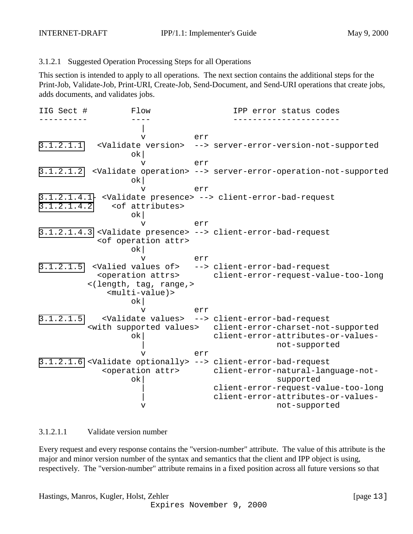## <span id="page-12-0"></span>3.1.2.1 Suggested Operation Processing Steps for all Operations

This section is intended to apply to all operations. The next section contains the additional steps for the Print-Job, Validate-Job, Print-URI, Create-Job, Send-Document, and Send-URI operations that create jobs, adds documents, and validates jobs.

```
IIG Sect # Flow IPP error status codes
---------- ---- ----------------------
                 |
                 v err
3.1.2.1.1 <Validate version> --> server-error-version-not-supported
                ok|
                 v err
3.1.2.1.2 <Validate operation> --> server-error-operation-not-supported
                ok|
                 v err
3.1.2.1.4.1- <Validate presence> --> client-error-bad-request
3.1.2.1.4.2 <of attributes>
                ok|
                 v err
3.1.2.1.4.3 <Validate presence> --> client-error-bad-request
          <of operation attr>
                ok|
                 v err
3.1.2.1.5 <Valied values of> --> client-error-bad-request
          <operation attrs> client-error-request-value-too-long
        <(length, tag, range,>
           <multi-value)>
                ok|
                 v err
3.1.2.1.5 <Validate values> --> client-error-bad-request
        <with supported values> client-error-charset-not-supported
                ok| client-error-attributes-or-values-
                                         not-supported
                 v err
3.1.2.1.6 <Validate optionally> --> client-error-bad-request
           <operation attr> client-error-natural-language-not-
                ok| supported
                             | client-error-request-value-too-long
                             | client-error-attributes-or-values-
                 v not-supported
```
## 3.1.2.1.1 Validate version number

Every request and every response contains the "version-number" attribute. The value of this attribute is the major and minor version number of the syntax and semantics that the client and IPP object is using, respectively. The "version-number" attribute remains in a fixed position across all future versions so that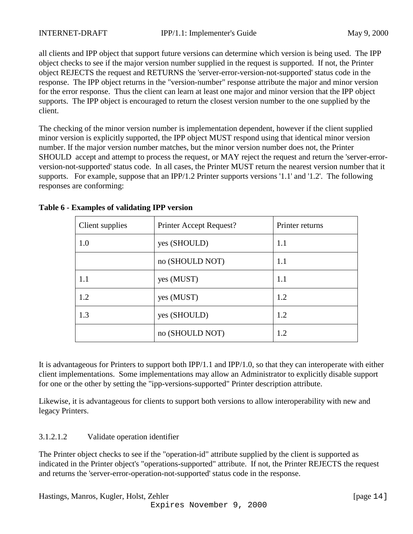<span id="page-13-0"></span>all clients and IPP object that support future versions can determine which version is being used. The IPP object checks to see if the major version number supplied in the request is supported. If not, the Printer object REJECTS the request and RETURNS the 'server-error-version-not-supported' status code in the response. The IPP object returns in the "version-number" response attribute the major and minor version for the error response. Thus the client can learn at least one major and minor version that the IPP object supports. The IPP object is encouraged to return the closest version number to the one supplied by the client.

The checking of the minor version number is implementation dependent, however if the client supplied minor version is explicitly supported, the IPP object MUST respond using that identical minor version number. If the major version number matches, but the minor version number does not, the Printer SHOULD accept and attempt to process the request, or MAY reject the request and return the 'server-errorversion-not-supported' status code. In all cases, the Printer MUST return the nearest version number that it supports. For example, suppose that an IPP/1.2 Printer supports versions '1.1' and '1.2'. The following responses are conforming:

| Client supplies | Printer Accept Request? | Printer returns |
|-----------------|-------------------------|-----------------|
| 1.0             | yes (SHOULD)            | 1.1             |
|                 | no (SHOULD NOT)         | 1.1             |
| 1.1             | yes (MUST)              | 1.1             |
| 1.2             | yes (MUST)              | 1.2             |
| 1.3             | yes (SHOULD)            | 1.2             |
|                 | no (SHOULD NOT)         | 1.2             |

|  |  | Table 6 - Examples of validating IPP version |  |
|--|--|----------------------------------------------|--|
|--|--|----------------------------------------------|--|

It is advantageous for Printers to support both IPP/1.1 and IPP/1.0, so that they can interoperate with either client implementations. Some implementations may allow an Administrator to explicitly disable support for one or the other by setting the "ipp-versions-supported" Printer description attribute.

Likewise, it is advantageous for clients to support both versions to allow interoperability with new and legacy Printers.

# 3.1.2.1.2 Validate operation identifier

The Printer object checks to see if the "operation-id" attribute supplied by the client is supported as indicated in the Printer object's "operations-supported" attribute. If not, the Printer REJECTS the request and returns the 'server-error-operation-not-supported' status code in the response.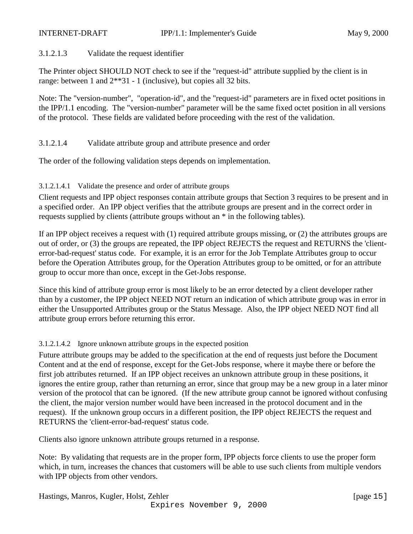# <span id="page-14-0"></span>3.1.2.1.3 Validate the request identifier

The Printer object SHOULD NOT check to see if the "request-id" attribute supplied by the client is in range: between 1 and 2\*\*31 - 1 (inclusive), but copies all 32 bits.

Note: The "version-number", "operation-id", and the "request-id" parameters are in fixed octet positions in the IPP/1.1 encoding. The "version-number" parameter will be the same fixed octet position in all versions of the protocol. These fields are validated before proceeding with the rest of the validation.

# 3.1.2.1.4 Validate attribute group and attribute presence and order

The order of the following validation steps depends on implementation.

# 3.1.2.1.4.1 Validate the presence and order of attribute groups

Client requests and IPP object responses contain attribute groups that Section 3 requires to be present and in a specified order. An IPP object verifies that the attribute groups are present and in the correct order in requests supplied by clients (attribute groups without an \* in the following tables).

If an IPP object receives a request with (1) required attribute groups missing, or (2) the attributes groups are out of order, or (3) the groups are repeated, the IPP object REJECTS the request and RETURNS the 'clienterror-bad-request' status code. For example, it is an error for the Job Template Attributes group to occur before the Operation Attributes group, for the Operation Attributes group to be omitted, or for an attribute group to occur more than once, except in the Get-Jobs response.

Since this kind of attribute group error is most likely to be an error detected by a client developer rather than by a customer, the IPP object NEED NOT return an indication of which attribute group was in error in either the Unsupported Attributes group or the Status Message. Also, the IPP object NEED NOT find all attribute group errors before returning this error.

## 3.1.2.1.4.2 Ignore unknown attribute groups in the expected position

Future attribute groups may be added to the specification at the end of requests just before the Document Content and at the end of response, except for the Get-Jobs response, where it maybe there or before the first job attributes returned. If an IPP object receives an unknown attribute group in these positions, it ignores the entire group, rather than returning an error, since that group may be a new group in a later minor version of the protocol that can be ignored. (If the new attribute group cannot be ignored without confusing the client, the major version number would have been increased in the protocol document and in the request). If the unknown group occurs in a different position, the IPP object REJECTS the request and RETURNS the 'client-error-bad-request' status code.

Clients also ignore unknown attribute groups returned in a response.

Note: By validating that requests are in the proper form, IPP objects force clients to use the proper form which, in turn, increases the chances that customers will be able to use such clients from multiple vendors with IPP objects from other vendors.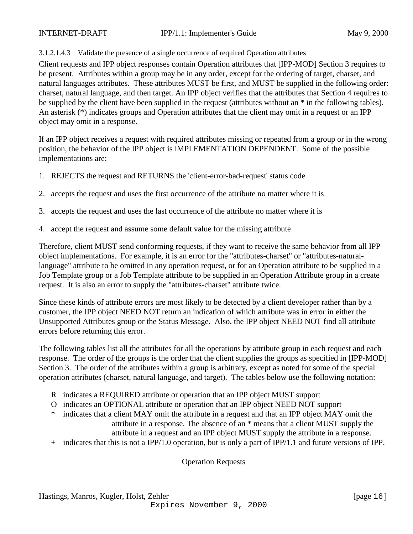<span id="page-15-0"></span>3.1.2.1.4.3 Validate the presence of a single occurrence of required Operation attributes

Client requests and IPP object responses contain Operation attributes that [IPP-MOD] Section 3 requires to be present. Attributes within a group may be in any order, except for the ordering of target, charset, and natural languages attributes. These attributes MUST be first, and MUST be supplied in the following order: charset, natural language, and then target. An IPP object verifies that the attributes that Section 4 requires to be supplied by the client have been supplied in the request (attributes without an \* in the following tables). An asterisk (\*) indicates groups and Operation attributes that the client may omit in a request or an IPP object may omit in a response.

If an IPP object receives a request with required attributes missing or repeated from a group or in the wrong position, the behavior of the IPP object is IMPLEMENTATION DEPENDENT. Some of the possible implementations are:

- 1. REJECTS the request and RETURNS the 'client-error-bad-request' status code
- 2. accepts the request and uses the first occurrence of the attribute no matter where it is
- 3. accepts the request and uses the last occurrence of the attribute no matter where it is
- 4. accept the request and assume some default value for the missing attribute

Therefore, client MUST send conforming requests, if they want to receive the same behavior from all IPP object implementations. For example, it is an error for the "attributes-charset" or "attributes-naturallanguage" attribute to be omitted in any operation request, or for an Operation attribute to be supplied in a Job Template group or a Job Template attribute to be supplied in an Operation Attribute group in a create request. It is also an error to supply the "attributes-charset" attribute twice.

Since these kinds of attribute errors are most likely to be detected by a client developer rather than by a customer, the IPP object NEED NOT return an indication of which attribute was in error in either the Unsupported Attributes group or the Status Message. Also, the IPP object NEED NOT find all attribute errors before returning this error.

The following tables list all the attributes for all the operations by attribute group in each request and each response. The order of the groups is the order that the client supplies the groups as specified in [IPP-MOD] Section 3. The order of the attributes within a group is arbitrary, except as noted for some of the special operation attributes (charset, natural language, and target). The tables below use the following notation:

- R indicates a REQUIRED attribute or operation that an IPP object MUST support
- O indicates an OPTIONAL attribute or operation that an IPP object NEED NOT support
- \* indicates that a client MAY omit the attribute in a request and that an IPP object MAY omit the attribute in a response. The absence of an \* means that a client MUST supply the attribute in a request and an IPP object MUST supply the attribute in a response.
- + indicates that this is not a IPP/1.0 operation, but is only a part of IPP/1.1 and future versions of IPP.

Operation Requests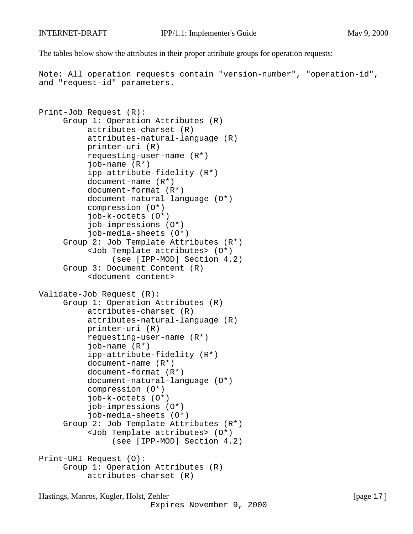The tables below show the attributes in their proper attribute groups for operation requests:

```
Note: All operation requests contain "version-number", "operation-id",
and "request-id" parameters.
Print-Job Request (R):
     Group 1: Operation Attributes (R)
          attributes-charset (R)
          attributes-natural-language (R)
          printer-uri (R)
          requesting-user-name (R*)
          job-name (R*)
          ipp-attribute-fidelity (R*)
          document-name (R*)
          document-format (R*)
          document-natural-language (O*)
          compression (O*)
          job-k-octets (O*)
          job-impressions (O*)
          job-media-sheets (O*)
     Group 2: Job Template Attributes (R*)
          <Job Template attributes> (O*)
               (see [IPP-MOD] Section 4.2)
     Group 3: Document Content (R)
          <document content>
Validate-Job Request (R):
     Group 1: Operation Attributes (R)
          attributes-charset (R)
          attributes-natural-language (R)
          printer-uri (R)
          requesting-user-name (R*)
          job-name (R*)
          ipp-attribute-fidelity (R*)
          document-name (R*)
          document-format (R*)
          document-natural-language (O*)
          compression (O*)
          job-k-octets (O*)
          job-impressions (O*)
          job-media-sheets (O*)
     Group 2: Job Template Attributes (R*)
          <Job Template attributes> (O*)
               (see [IPP-MOD] Section 4.2)
Print-URI Request (O):
     Group 1: Operation Attributes (R)
          attributes-charset (R)
```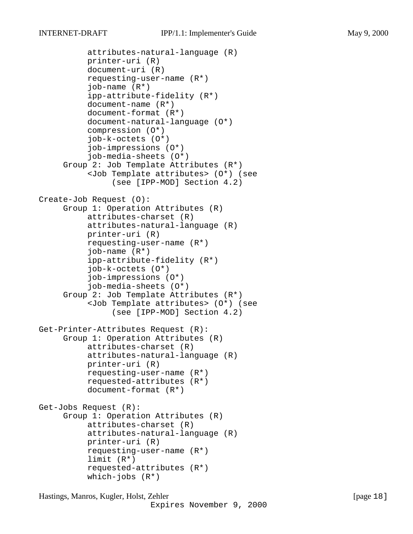```
attributes-natural-language (R)
          printer-uri (R)
          document-uri (R)
          requesting-user-name (R*)
          job-name (R*)
          ipp-attribute-fidelity (R*)
          document-name (R*)
          document-format (R*)
          document-natural-language (O*)
          compression (O*)
          job-k-octets (O*)
          job-impressions (O*)
          job-media-sheets (O*)
     Group 2: Job Template Attributes (R*)
          <Job Template attributes> (O*) (see
               (see [IPP-MOD] Section 4.2)
Create-Job Request (O):
     Group 1: Operation Attributes (R)
          attributes-charset (R)
          attributes-natural-language (R)
          printer-uri (R)
          requesting-user-name (R*)
          job-name (R*)
          ipp-attribute-fidelity (R*)
          job-k-octets (O*)
          job-impressions (O*)
          job-media-sheets (O*)
     Group 2: Job Template Attributes (R*)
          <Job Template attributes> (O*) (see
               (see [IPP-MOD] Section 4.2)
Get-Printer-Attributes Request (R):
     Group 1: Operation Attributes (R)
          attributes-charset (R)
          attributes-natural-language (R)
          printer-uri (R)
          requesting-user-name (R*)
          requested-attributes (R*)
          document-format (R*)
Get-Jobs Request (R):
     Group 1: Operation Attributes (R)
          attributes-charset (R)
          attributes-natural-language (R)
          printer-uri (R)
          requesting-user-name (R*)
          limit (R*)
          requested-attributes (R*)
          which-jobs (R*)
```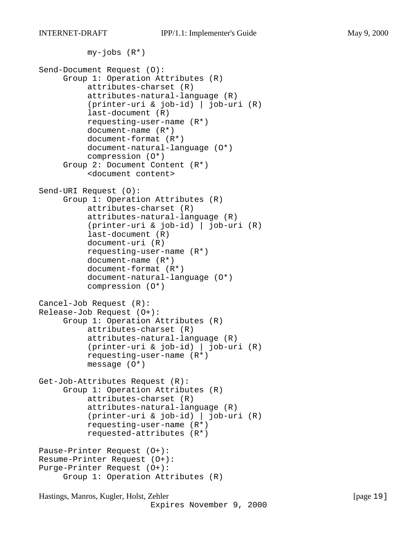```
my-ijobs (R*)Send-Document Request (O):
     Group 1: Operation Attributes (R)
          attributes-charset (R)
          attributes-natural-language (R)
          (printer-uri & job-id) | job-uri (R)
          last-document (R)
          requesting-user-name (R*)
          document-name (R*)
          document-format (R*)
          document-natural-language (O*)
          compression (O*)
     Group 2: Document Content (R*)
          <document content>
Send-URI Request (O):
     Group 1: Operation Attributes (R)
          attributes-charset (R)
          attributes-natural-language (R)
          (printer-uri & job-id) | job-uri (R)
          last-document (R)
          document-uri (R)
          requesting-user-name (R*)
          document-name (R*)
          document-format (R*)
          document-natural-language (O*)
          compression (O*)
Cancel-Job Request (R):
Release-Job Request (O+):
     Group 1: Operation Attributes (R)
          attributes-charset (R)
          attributes-natural-language (R)
          (printer-uri & job-id) | job-uri (R)
          requesting-user-name (R*)
          message (O*)
Get-Job-Attributes Request (R):
     Group 1: Operation Attributes (R)
          attributes-charset (R)
          attributes-natural-language (R)
          (printer-uri & job-id) | job-uri (R)
          requesting-user-name (R*)
          requested-attributes (R*)
Pause-Printer Request (O+):
Resume-Printer Request (O+):
Purge-Printer Request (O+):
     Group 1: Operation Attributes (R)
```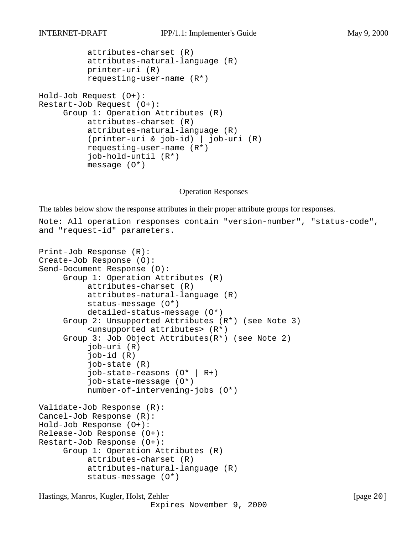```
attributes-charset (R)
attributes-natural-language (R)
printer-uri (R)
requesting-user-name (R*)
```

```
Hold-Job Request (O+):
Restart-Job Request (O+):
     Group 1: Operation Attributes (R)
          attributes-charset (R)
          attributes-natural-language (R)
          (printer-uri & job-id) | job-uri (R)
          requesting-user-name (R*)
          job-hold-until (R*)
          message (O*)
```
Operation Responses

The tables below show the response attributes in their proper attribute groups for responses.

Note: All operation responses contain "version-number", "status-code", and "request-id" parameters.

```
Print-Job Response (R):
Create-Job Response (O):
Send-Document Response (O):
     Group 1: Operation Attributes (R)
          attributes-charset (R)
          attributes-natural-language (R)
          status-message (O*)
          detailed-status-message (O*)
     Group 2: Unsupported Attributes (R*) (see Note 3)
          <unsupported attributes> (R*)
     Group 3: Job Object Attributes(R*) (see Note 2)
          job-uri (R)
          job-id (R)
          job-state (R)
          job-state-reasons (O* | R+)
          job-state-message (O*)
          number-of-intervening-jobs (O*)
Validate-Job Response (R):
Cancel-Job Response (R):
Hold-Job Response (O+):
Release-Job Response (O+):
Restart-Job Response (O+):
     Group 1: Operation Attributes (R)
          attributes-charset (R)
          attributes-natural-language (R)
          status-message (O*)
```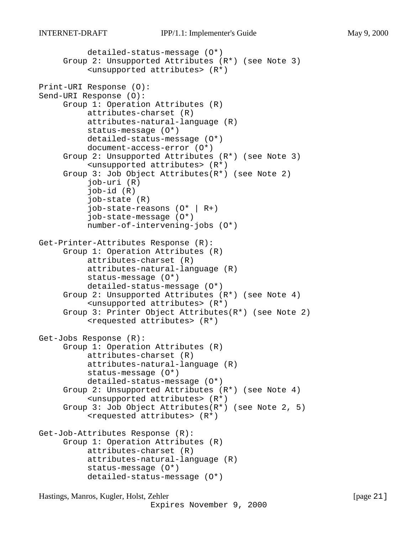```
detailed-status-message (O*)
     Group 2: Unsupported Attributes (R*) (see Note 3)
          <unsupported attributes> (R*)
Print-URI Response (O):
Send-URI Response (O):
     Group 1: Operation Attributes (R)
          attributes-charset (R)
          attributes-natural-language (R)
          status-message (O*)
          detailed-status-message (O*)
          document-access-error (O*)
     Group 2: Unsupported Attributes (R*) (see Note 3)
          <unsupported attributes> (R*)
     Group 3: Job Object Attributes(R*) (see Note 2)
          job-uri (R)
          job-id (R)
          job-state (R)
          job-state-reasons (O* | R+)
          job-state-message (O*)
          number-of-intervening-jobs (O*)
Get-Printer-Attributes Response (R):
     Group 1: Operation Attributes (R)
          attributes-charset (R)
          attributes-natural-language (R)
          status-message (O*)
          detailed-status-message (O*)
     Group 2: Unsupported Attributes (R*) (see Note 4)
          <unsupported attributes> (R*)
     Group 3: Printer Object Attributes(R*) (see Note 2)
          <requested attributes> (R*)
Get-Jobs Response (R):
     Group 1: Operation Attributes (R)
          attributes-charset (R)
          attributes-natural-language (R)
          status-message (O*)
          detailed-status-message (O*)
     Group 2: Unsupported Attributes (R*) (see Note 4)
          <unsupported attributes> (R*)
     Group 3: Job Object Attributes(R*) (see Note 2, 5)
          <requested attributes> (R*)
Get-Job-Attributes Response (R):
     Group 1: Operation Attributes (R)
          attributes-charset (R)
          attributes-natural-language (R)
          status-message (O*)
          detailed-status-message (O*)
```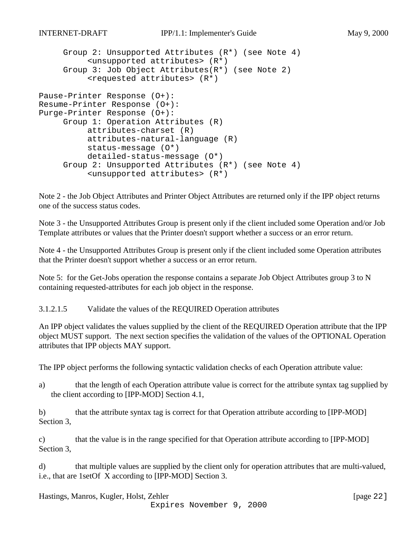```
Group 2: Unsupported Attributes (R*) (see Note 4)
          <unsupported attributes> (R*)
     Group 3: Job Object Attributes(R*) (see Note 2)
          <requested attributes> (R*)
Pause-Printer Response (O+):
Resume-Printer Response (O+):
Purge-Printer Response (O+):
     Group 1: Operation Attributes (R)
          attributes-charset (R)
          attributes-natural-language (R)
          status-message (O*)
          detailed-status-message (O*)
     Group 2: Unsupported Attributes (R*) (see Note 4)
          <unsupported attributes> (R*)
```
Note 2 - the Job Object Attributes and Printer Object Attributes are returned only if the IPP object returns one of the success status codes.

Note 3 - the Unsupported Attributes Group is present only if the client included some Operation and/or Job Template attributes or values that the Printer doesn't support whether a success or an error return.

Note 4 - the Unsupported Attributes Group is present only if the client included some Operation attributes that the Printer doesn't support whether a success or an error return.

Note 5: for the Get-Jobs operation the response contains a separate Job Object Attributes group 3 to N containing requested-attributes for each job object in the response.

3.1.2.1.5 Validate the values of the REQUIRED Operation attributes

An IPP object validates the values supplied by the client of the REQUIRED Operation attribute that the IPP object MUST support. The next section specifies the validation of the values of the OPTIONAL Operation attributes that IPP objects MAY support.

The IPP object performs the following syntactic validation checks of each Operation attribute value:

a) that the length of each Operation attribute value is correct for the attribute syntax tag supplied by the client according to [IPP-MOD] Section 4.1,

b) that the attribute syntax tag is correct for that Operation attribute according to [IPP-MOD] Section 3,

c) that the value is in the range specified for that Operation attribute according to [IPP-MOD] Section 3,

d) that multiple values are supplied by the client only for operation attributes that are multi-valued, i.e., that are 1setOf X according to [IPP-MOD] Section 3.

#### Hastings, Manros, Kugler, Holst, Zehler [page 22] Expires November 9, 2000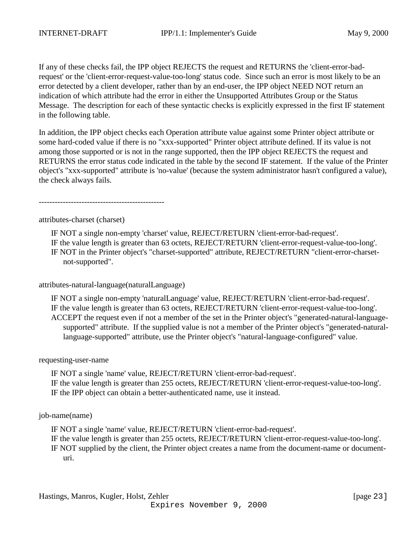If any of these checks fail, the IPP object REJECTS the request and RETURNS the 'client-error-badrequest' or the 'client-error-request-value-too-long' status code. Since such an error is most likely to be an error detected by a client developer, rather than by an end-user, the IPP object NEED NOT return an indication of which attribute had the error in either the Unsupported Attributes Group or the Status Message. The description for each of these syntactic checks is explicitly expressed in the first IF statement in the following table.

In addition, the IPP object checks each Operation attribute value against some Printer object attribute or some hard-coded value if there is no "xxx-supported" Printer object attribute defined. If its value is not among those supported or is not in the range supported, then the IPP object REJECTS the request and RETURNS the error status code indicated in the table by the second IF statement. If the value of the Printer object's "xxx-supported" attribute is 'no-value' (because the system administrator hasn't configured a value), the check always fails.

-----------------------------------------------

attributes-charset (charset)

IF NOT a single non-empty 'charset' value, REJECT/RETURN 'client-error-bad-request'. IF the value length is greater than 63 octets, REJECT/RETURN 'client-error-request-value-too-long'. IF NOT in the Printer object's "charset-supported" attribute, REJECT/RETURN "client-error-charsetnot-supported".

attributes-natural-language(naturalLanguage)

IF NOT a single non-empty 'naturalLanguage' value, REJECT/RETURN 'client-error-bad-request'. IF the value length is greater than 63 octets, REJECT/RETURN 'client-error-request-value-too-long'. ACCEPT the request even if not a member of the set in the Printer object's "generated-natural-languagesupported" attribute. If the supplied value is not a member of the Printer object's "generated-naturallanguage-supported" attribute, use the Printer object's "natural-language-configured" value.

#### requesting-user-name

IF NOT a single 'name' value, REJECT/RETURN 'client-error-bad-request'. IF the value length is greater than 255 octets, REJECT/RETURN 'client-error-request-value-too-long'. IF the IPP object can obtain a better-authenticated name, use it instead.

#### job-name(name)

IF NOT a single 'name' value, REJECT/RETURN 'client-error-bad-request'.

IF the value length is greater than 255 octets, REJECT/RETURN 'client-error-request-value-too-long'. IF NOT supplied by the client, the Printer object creates a name from the document-name or documenturi.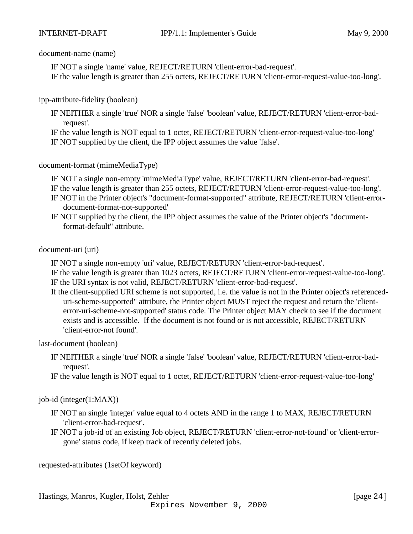document-name (name)

IF NOT a single 'name' value, REJECT/RETURN 'client-error-bad-request'.

IF the value length is greater than 255 octets, REJECT/RETURN 'client-error-request-value-too-long'.

ipp-attribute-fidelity (boolean)

IF NEITHER a single 'true' NOR a single 'false' 'boolean' value, REJECT/RETURN 'client-error-badrequest'.

IF the value length is NOT equal to 1 octet, REJECT/RETURN 'client-error-request-value-too-long' IF NOT supplied by the client, the IPP object assumes the value 'false'.

document-format (mimeMediaType)

IF NOT a single non-empty 'mimeMediaType' value, REJECT/RETURN 'client-error-bad-request'. IF the value length is greater than 255 octets, REJECT/RETURN 'client-error-request-value-too-long'.

- IF NOT in the Printer object's "document-format-supported" attribute, REJECT/RETURN 'client-errordocument-format-not-supported'
- IF NOT supplied by the client, the IPP object assumes the value of the Printer object's "documentformat-default" attribute.

document-uri (uri)

IF NOT a single non-empty 'uri' value, REJECT/RETURN 'client-error-bad-request'.

IF the value length is greater than 1023 octets, REJECT/RETURN 'client-error-request-value-too-long'. IF the URI syntax is not valid, REJECT/RETURN 'client-error-bad-request'.

If the client-supplied URI scheme is not supported, i.e. the value is not in the Printer object's referenceduri-scheme-supported" attribute, the Printer object MUST reject the request and return the 'clienterror-uri-scheme-not-supported' status code. The Printer object MAY check to see if the document exists and is accessible. If the document is not found or is not accessible, REJECT/RETURN 'client-error-not found'.

last-document (boolean)

- IF NEITHER a single 'true' NOR a single 'false' 'boolean' value, REJECT/RETURN 'client-error-badrequest'.
- IF the value length is NOT equal to 1 octet, REJECT/RETURN 'client-error-request-value-too-long'

job-id (integer(1:MAX))

- IF NOT an single 'integer' value equal to 4 octets AND in the range 1 to MAX, REJECT/RETURN 'client-error-bad-request'.
- IF NOT a job-id of an existing Job object, REJECT/RETURN 'client-error-not-found' or 'client-errorgone' status code, if keep track of recently deleted jobs.

requested-attributes (1setOf keyword)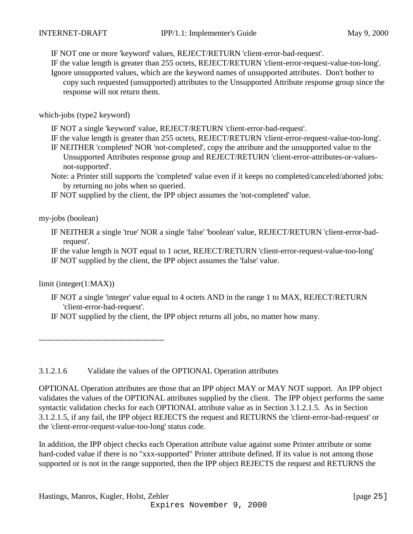<span id="page-24-0"></span>IF NOT one or more 'keyword' values, REJECT/RETURN 'client-error-bad-request'.

IF the value length is greater than 255 octets, REJECT/RETURN 'client-error-request-value-too-long'.

Ignore unsupported values, which are the keyword names of unsupported attributes. Don't bother to copy such requested (unsupported) attributes to the Unsupported Attribute response group since the response will not return them.

which-jobs (type2 keyword)

IF NOT a single 'keyword' value, REJECT/RETURN 'client-error-bad-request'.

- IF the value length is greater than 255 octets, REJECT/RETURN 'client-error-request-value-too-long'.
- IF NEITHER 'completed' NOR 'not-completed', copy the attribute and the unsupported value to the Unsupported Attributes response group and REJECT/RETURN 'client-error-attributes-or-valuesnot-supported'.
- Note: a Printer still supports the 'completed' value even if it keeps no completed/canceled/aborted jobs: by returning no jobs when so queried.
- IF NOT supplied by the client, the IPP object assumes the 'not-completed' value.

my-jobs (boolean)

IF NEITHER a single 'true' NOR a single 'false' 'boolean' value, REJECT/RETURN 'client-error-badrequest'.

IF the value length is NOT equal to 1 octet, REJECT/RETURN 'client-error-request-value-too-long' IF NOT supplied by the client, the IPP object assumes the 'false' value.

limit (integer(1:MAX))

- IF NOT a single 'integer' value equal to 4 octets AND in the range 1 to MAX, REJECT/RETURN 'client-error-bad-request'.
- IF NOT supplied by the client, the IPP object returns all jobs, no matter how many.

-----------------------------------------------

# 3.1.2.1.6 Validate the values of the OPTIONAL Operation attributes

OPTIONAL Operation attributes are those that an IPP object MAY or MAY NOT support. An IPP object validates the values of the OPTIONAL attributes supplied by the client. The IPP object performs the same syntactic validation checks for each OPTIONAL attribute value as in Section 3.1.2.1.5. As in Section 3.1.2.1.5, if any fail, the IPP object REJECTS the request and RETURNS the 'client-error-bad-request' or the 'client-error-request-value-too-long' status code.

In addition, the IPP object checks each Operation attribute value against some Printer attribute or some hard-coded value if there is no "xxx-supported" Printer attribute defined. If its value is not among those supported or is not in the range supported, then the IPP object REJECTS the request and RETURNS the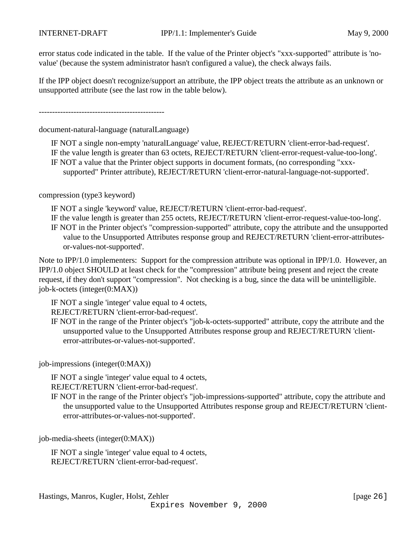error status code indicated in the table. If the value of the Printer object's "xxx-supported" attribute is 'novalue' (because the system administrator hasn't configured a value), the check always fails.

If the IPP object doesn't recognize/support an attribute, the IPP object treats the attribute as an unknown or unsupported attribute (see the last row in the table below).

-----------------------------------------------

document-natural-language (naturalLanguage)

IF NOT a single non-empty 'naturalLanguage' value, REJECT/RETURN 'client-error-bad-request'. IF the value length is greater than 63 octets, REJECT/RETURN 'client-error-request-value-too-long'. IF NOT a value that the Printer object supports in document formats, (no corresponding "xxxsupported" Printer attribute), REJECT/RETURN 'client-error-natural-language-not-supported'.

compression (type3 keyword)

IF NOT a single 'keyword' value, REJECT/RETURN 'client-error-bad-request'.

IF the value length is greater than 255 octets, REJECT/RETURN 'client-error-request-value-too-long'. IF NOT in the Printer object's "compression-supported" attribute, copy the attribute and the unsupported value to the Unsupported Attributes response group and REJECT/RETURN 'client-error-attributesor-values-not-supported'.

Note to IPP/1.0 implementers: Support for the compression attribute was optional in IPP/1.0. However, an IPP/1.0 object SHOULD at least check for the "compression" attribute being present and reject the create request, if they don't support "compression". Not checking is a bug, since the data will be unintelligible. job-k-octets (integer(0:MAX))

IF NOT a single 'integer' value equal to 4 octets,

REJECT/RETURN 'client-error-bad-request'.

IF NOT in the range of the Printer object's "job-k-octets-supported" attribute, copy the attribute and the unsupported value to the Unsupported Attributes response group and REJECT/RETURN 'clienterror-attributes-or-values-not-supported'.

job-impressions (integer(0:MAX))

IF NOT a single 'integer' value equal to 4 octets,

REJECT/RETURN 'client-error-bad-request'.

IF NOT in the range of the Printer object's "job-impressions-supported" attribute, copy the attribute and the unsupported value to the Unsupported Attributes response group and REJECT/RETURN 'clienterror-attributes-or-values-not-supported'.

job-media-sheets (integer(0:MAX))

IF NOT a single 'integer' value equal to 4 octets, REJECT/RETURN 'client-error-bad-request'.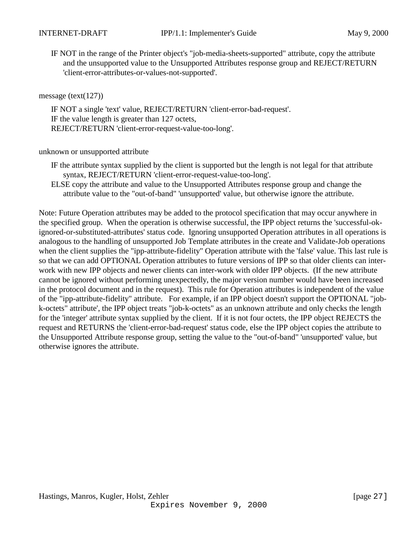IF NOT in the range of the Printer object's "job-media-sheets-supported" attribute, copy the attribute and the unsupported value to the Unsupported Attributes response group and REJECT/RETURN 'client-error-attributes-or-values-not-supported'.

message (text $(127)$ )

IF NOT a single 'text' value, REJECT/RETURN 'client-error-bad-request'. IF the value length is greater than 127 octets, REJECT/RETURN 'client-error-request-value-too-long'.

unknown or unsupported attribute

- IF the attribute syntax supplied by the client is supported but the length is not legal for that attribute syntax, REJECT/RETURN 'client-error-request-value-too-long'.
- ELSE copy the attribute and value to the Unsupported Attributes response group and change the attribute value to the "out-of-band" 'unsupported' value, but otherwise ignore the attribute.

Note: Future Operation attributes may be added to the protocol specification that may occur anywhere in the specified group. When the operation is otherwise successful, the IPP object returns the 'successful-okignored-or-substituted-attributes' status code. Ignoring unsupported Operation attributes in all operations is analogous to the handling of unsupported Job Template attributes in the create and Validate-Job operations when the client supplies the "ipp-attribute-fidelity" Operation attribute with the 'false' value. This last rule is so that we can add OPTIONAL Operation attributes to future versions of IPP so that older clients can interwork with new IPP objects and newer clients can inter-work with older IPP objects. (If the new attribute cannot be ignored without performing unexpectedly, the major version number would have been increased in the protocol document and in the request). This rule for Operation attributes is independent of the value of the "ipp-attribute-fidelity" attribute. For example, if an IPP object doesn't support the OPTIONAL "jobk-octets" attribute', the IPP object treats "job-k-octets" as an unknown attribute and only checks the length for the 'integer' attribute syntax supplied by the client. If it is not four octets, the IPP object REJECTS the request and RETURNS the 'client-error-bad-request' status code, else the IPP object copies the attribute to the Unsupported Attribute response group, setting the value to the "out-of-band" 'unsupported' value, but otherwise ignores the attribute.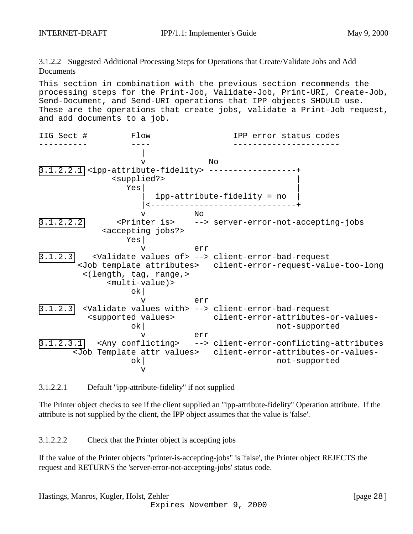<span id="page-27-0"></span>3.1.2.2 Suggested Additional Processing Steps for Operations that Create/Validate Jobs and Add **Documents** 

This section in combination with the previous section recommends the processing steps for the Print-Job, Validate-Job, Print-URI, Create-Job, Send-Document, and Send-URI operations that IPP objects SHOULD use. These are the operations that create jobs, validate a Print-Job request, and add documents to a job.

IIG Sect # Flow IPP error status codes ---------- ---- ---------------------- | v No 3.1.2.2.1 <ipp-attribute-fidelity> ------------------+ <supplied?> |  $\text{Yes}$  | | ipp-attribute-fidelity = no | |<------------------------------+ v No 3.1.2.2.2 <Printer is> --> server-error-not-accepting-jobs <accepting jobs?> Yes| v err [3.1.2.3](#page-28-0) <Validate values of> --> client-error-bad-request <Job template attributes> client-error-request-value-too-long <(length, tag, range,> <multi-value)> ok| v err [3.1.2.3](#page-28-0) <Validate values with> --> client-error-bad-request <supported values> client-error-attributes-or-valuesok| not-supported v err [3.1.2.3.1](#page-33-0) <Any conflicting> --> client-error-conflicting-attributes <Job Template attr values> client-error-attributes-or-valuesok| not-supported  $\overline{v}$ 

3.1.2.2.1 Default "ipp-attribute-fidelity" if not supplied

The Printer object checks to see if the client supplied an "ipp-attribute-fidelity" Operation attribute. If the attribute is not supplied by the client, the IPP object assumes that the value is 'false'.

3.1.2.2.2 Check that the Printer object is accepting jobs

If the value of the Printer objects "printer-is-accepting-jobs" is 'false', the Printer object REJECTS the request and RETURNS the 'server-error-not-accepting-jobs' status code.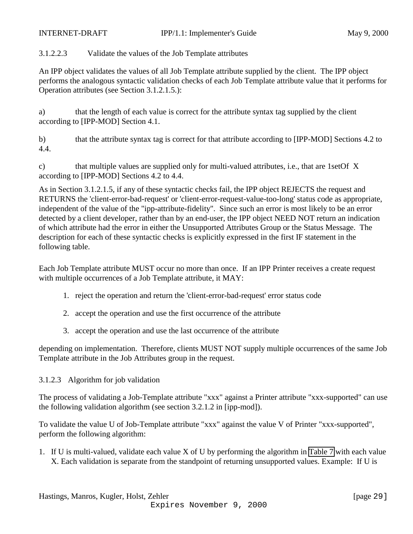# <span id="page-28-0"></span>3.1.2.2.3 Validate the values of the Job Template attributes

An IPP object validates the values of all Job Template attribute supplied by the client. The IPP object performs the analogous syntactic validation checks of each Job Template attribute value that it performs for Operation attributes (see Section 3.1.2.1.5.):

a) that the length of each value is correct for the attribute syntax tag supplied by the client according to [IPP-MOD] Section 4.1.

b) that the attribute syntax tag is correct for that attribute according to [IPP-MOD] Sections 4.2 to 4.4.

c) that multiple values are supplied only for multi-valued attributes, i.e., that are 1setOf X according to [IPP-MOD] Sections 4.2 to 4.4.

As in Section 3.1.2.1.5, if any of these syntactic checks fail, the IPP object REJECTS the request and RETURNS the 'client-error-bad-request' or 'client-error-request-value-too-long' status code as appropriate, independent of the value of the "ipp-attribute-fidelity". Since such an error is most likely to be an error detected by a client developer, rather than by an end-user, the IPP object NEED NOT return an indication of which attribute had the error in either the Unsupported Attributes Group or the Status Message. The description for each of these syntactic checks is explicitly expressed in the first IF statement in the following table.

Each Job Template attribute MUST occur no more than once. If an IPP Printer receives a create request with multiple occurrences of a Job Template attribute, it MAY:

- 1. reject the operation and return the 'client-error-bad-request' error status code
- 2. accept the operation and use the first occurrence of the attribute
- 3. accept the operation and use the last occurrence of the attribute

depending on implementation. Therefore, clients MUST NOT supply multiple occurrences of the same Job Template attribute in the Job Attributes group in the request.

## 3.1.2.3 Algorithm for job validation

The process of validating a Job-Template attribute "xxx" against a Printer attribute "xxx-supported" can use the following validation algorithm (see section 3.2.1.2 in [ipp-mod]).

To validate the value U of Job-Template attribute "xxx" against the value V of Printer "xxx-supported", perform the following algorithm:

1. If U is multi-valued, validate each value X of U by performing the algorithm in [Table 7](#page-29-0) with each value X. Each validation is separate from the standpoint of returning unsupported values. Example: If U is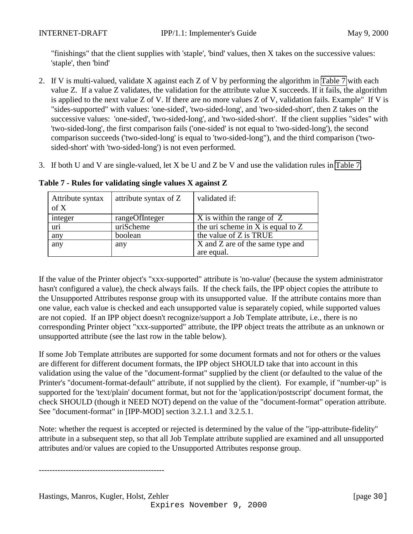<span id="page-29-0"></span>"finishings" that the client supplies with 'staple', 'bind' values, then X takes on the successive values: 'staple', then 'bind'

- 2. If V is multi-valued, validate X against each Z of V by performing the algorithm in Table 7 with each value Z. If a value Z validates, the validation for the attribute value X succeeds. If it fails, the algorithm is applied to the next value Z of V. If there are no more values Z of V, validation fails. Example" If V is "sides-supported" with values: 'one-sided', 'two-sided-long', and 'two-sided-short', then Z takes on the successive values: 'one-sided', 'two-sided-long', and 'two-sided-short'. If the client supplies "sides" with 'two-sided-long', the first comparison fails ('one-sided' is not equal to 'two-sided-long'), the second comparison succeeds ('two-sided-long' is equal to 'two-sided-long"), and the third comparison ('twosided-short' with 'two-sided-long') is not even performed.
- 3. If both U and V are single-valued, let X be U and Z be V and use the validation rules in Table 7.

| Attribute syntax<br>$\mathrm{of}\,X$ | attribute syntax of Z | validated if:                       |
|--------------------------------------|-----------------------|-------------------------------------|
| integer                              | rangeOfInteger        | X is within the range of Z          |
| uri                                  | uriScheme             | the uri scheme in X is equal to $Z$ |
| any                                  | boolean               | the value of Z is TRUE              |
| any                                  | any                   | X and Z are of the same type and    |
|                                      |                       | are equal.                          |

**Table 7 - Rules for validating single values X against Z**

If the value of the Printer object's "xxx-supported" attribute is 'no-value' (because the system administrator hasn't configured a value), the check always fails. If the check fails, the IPP object copies the attribute to the Unsupported Attributes response group with its unsupported value. If the attribute contains more than one value, each value is checked and each unsupported value is separately copied, while supported values are not copied. If an IPP object doesn't recognize/support a Job Template attribute, i.e., there is no corresponding Printer object "xxx-supported" attribute, the IPP object treats the attribute as an unknown or unsupported attribute (see the last row in the table below).

If some Job Template attributes are supported for some document formats and not for others or the values are different for different document formats, the IPP object SHOULD take that into account in this validation using the value of the "document-format" supplied by the client (or defaulted to the value of the Printer's "document-format-default" attribute, if not supplied by the client). For example, if "number-up" is supported for the 'text/plain' document format, but not for the 'application/postscript' document format, the check SHOULD (though it NEED NOT) depend on the value of the "document-format" operation attribute. See "document-format" in [IPP-MOD] section 3.2.1.1 and 3.2.5.1.

Note: whether the request is accepted or rejected is determined by the value of the "ipp-attribute-fidelity" attribute in a subsequent step, so that all Job Template attribute supplied are examined and all unsupported attributes and/or values are copied to the Unsupported Attributes response group.

-----------------------------------------------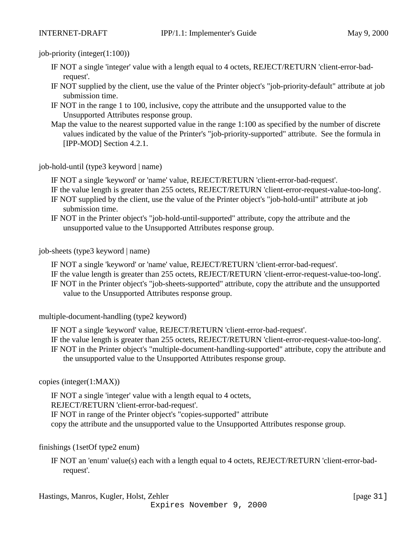job-priority (integer(1:100))

- IF NOT a single 'integer' value with a length equal to 4 octets, REJECT/RETURN 'client-error-badrequest'.
- IF NOT supplied by the client, use the value of the Printer object's "job-priority-default" attribute at job submission time.
- IF NOT in the range 1 to 100, inclusive, copy the attribute and the unsupported value to the Unsupported Attributes response group.
- Map the value to the nearest supported value in the range 1:100 as specified by the number of discrete values indicated by the value of the Printer's "job-priority-supported" attribute. See the formula in [IPP-MOD] Section 4.2.1.

job-hold-until (type3 keyword | name)

IF NOT a single 'keyword' or 'name' value, REJECT/RETURN 'client-error-bad-request'.

IF the value length is greater than 255 octets, REJECT/RETURN 'client-error-request-value-too-long'.

- IF NOT supplied by the client, use the value of the Printer object's "job-hold-until" attribute at job submission time.
- IF NOT in the Printer object's "job-hold-until-supported" attribute, copy the attribute and the unsupported value to the Unsupported Attributes response group.

job-sheets (type3 keyword | name)

IF NOT a single 'keyword' or 'name' value, REJECT/RETURN 'client-error-bad-request'.

IF the value length is greater than 255 octets, REJECT/RETURN 'client-error-request-value-too-long'. IF NOT in the Printer object's "job-sheets-supported" attribute, copy the attribute and the unsupported value to the Unsupported Attributes response group.

multiple-document-handling (type2 keyword)

IF NOT a single 'keyword' value, REJECT/RETURN 'client-error-bad-request'.

IF the value length is greater than 255 octets, REJECT/RETURN 'client-error-request-value-too-long'. IF NOT in the Printer object's "multiple-document-handling-supported" attribute, copy the attribute and

the unsupported value to the Unsupported Attributes response group.

copies (integer(1:MAX))

IF NOT a single 'integer' value with a length equal to 4 octets, REJECT/RETURN 'client-error-bad-request'. IF NOT in range of the Printer object's "copies-supported" attribute copy the attribute and the unsupported value to the Unsupported Attributes response group.

finishings (1setOf type2 enum)

IF NOT an 'enum' value(s) each with a length equal to 4 octets, REJECT/RETURN 'client-error-badrequest'.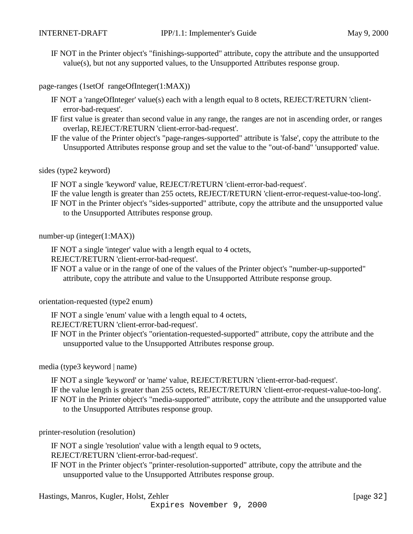IF NOT in the Printer object's "finishings-supported" attribute, copy the attribute and the unsupported value(s), but not any supported values, to the Unsupported Attributes response group.

#### page-ranges (1setOf rangeOfInteger(1:MAX))

- IF NOT a 'rangeOfInteger' value(s) each with a length equal to 8 octets, REJECT/RETURN 'clienterror-bad-request'.
- IF first value is greater than second value in any range, the ranges are not in ascending order, or ranges overlap, REJECT/RETURN 'client-error-bad-request'.
- IF the value of the Printer object's "page-ranges-supported" attribute is 'false', copy the attribute to the Unsupported Attributes response group and set the value to the "out-of-band" 'unsupported' value.

#### sides (type2 keyword)

IF NOT a single 'keyword' value, REJECT/RETURN 'client-error-bad-request'.

IF the value length is greater than 255 octets, REJECT/RETURN 'client-error-request-value-too-long'. IF NOT in the Printer object's "sides-supported" attribute, copy the attribute and the unsupported value to the Unsupported Attributes response group.

#### number-up (integer(1:MAX))

IF NOT a single 'integer' value with a length equal to 4 octets,

REJECT/RETURN 'client-error-bad-request'.

IF NOT a value or in the range of one of the values of the Printer object's "number-up-supported" attribute, copy the attribute and value to the Unsupported Attribute response group.

#### orientation-requested (type2 enum)

IF NOT a single 'enum' value with a length equal to 4 octets,

REJECT/RETURN 'client-error-bad-request'.

IF NOT in the Printer object's "orientation-requested-supported" attribute, copy the attribute and the unsupported value to the Unsupported Attributes response group.

media (type3 keyword | name)

IF NOT a single 'keyword' or 'name' value, REJECT/RETURN 'client-error-bad-request'.

IF the value length is greater than 255 octets, REJECT/RETURN 'client-error-request-value-too-long'.

IF NOT in the Printer object's "media-supported" attribute, copy the attribute and the unsupported value to the Unsupported Attributes response group.

printer-resolution (resolution)

IF NOT a single 'resolution' value with a length equal to 9 octets,

REJECT/RETURN 'client-error-bad-request'.

IF NOT in the Printer object's "printer-resolution-supported" attribute, copy the attribute and the unsupported value to the Unsupported Attributes response group.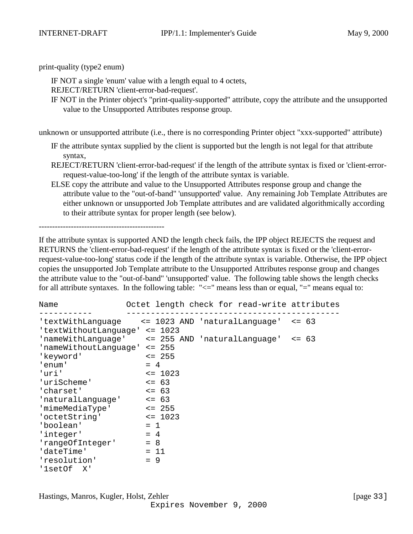print-quality (type2 enum)

IF NOT a single 'enum' value with a length equal to 4 octets,

REJECT/RETURN 'client-error-bad-request'.

IF NOT in the Printer object's "print-quality-supported" attribute, copy the attribute and the unsupported value to the Unsupported Attributes response group.

unknown or unsupported attribute (i.e., there is no corresponding Printer object "xxx-supported" attribute)

IF the attribute syntax supplied by the client is supported but the length is not legal for that attribute syntax,

REJECT/RETURN 'client-error-bad-request' if the length of the attribute syntax is fixed or 'client-errorrequest-value-too-long' if the length of the attribute syntax is variable.

ELSE copy the attribute and value to the Unsupported Attributes response group and change the attribute value to the "out-of-band" 'unsupported' value. Any remaining Job Template Attributes are either unknown or unsupported Job Template attributes and are validated algorithmically according to their attribute syntax for proper length (see below).

-----------------------------------------------

If the attribute syntax is supported AND the length check fails, the IPP object REJECTS the request and RETURNS the 'client-error-bad-request' if the length of the attribute syntax is fixed or the 'client-errorrequest-value-too-long' status code if the length of the attribute syntax is variable. Otherwise, the IPP object copies the unsupported Job Template attribute to the Unsupported Attributes response group and changes the attribute value to the "out-of-band" 'unsupported' value. The following table shows the length checks for all attribute syntaxes. In the following table: "<=" means less than or equal, "=" means equal to:

| Name                            | Octet length check for read-write attributes          |
|---------------------------------|-------------------------------------------------------|
|                                 | 'textWithLanguage <= 1023 AND 'naturalLanguage' <= 63 |
| 'textWithoutLanguage' <= 1023   |                                                       |
|                                 | 'nameWithLanguage' <= 255 AND 'naturalLanguage' <= 63 |
| 'nameWithoutLanguage' $\le$ 255 |                                                       |
| 'keyword'                       | $\leq$ 255                                            |
| 'enum'                          | $= 4$                                                 |
| 'uri'                           | $\leq$ 1023                                           |
| 'uriScheme'                     | $\leq$ 63                                             |
| 'charset'                       | $\leq$ 63                                             |
| 'naturalLanguage' <= 63         |                                                       |
| 'mimeMediaType' <= 255          |                                                       |
| $'octetString'$ <= 1023         |                                                       |
| 'boolean'                       | $= 1$                                                 |
| 'integer'                       | $= 4$                                                 |
| 'rangeOfInteger'                | $= 8$                                                 |
| 'dateTime'                      | $= 11$                                                |
| 'resolution'                    | $= 9$                                                 |
| 'lsetOf X'                      |                                                       |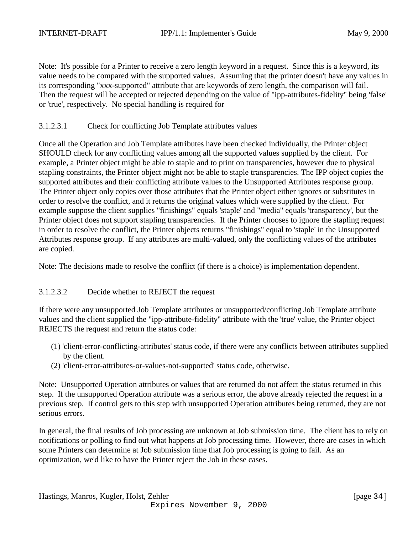<span id="page-33-0"></span>Note: It's possible for a Printer to receive a zero length keyword in a request. Since this is a keyword, its value needs to be compared with the supported values. Assuming that the printer doesn't have any values in its corresponding "xxx-supported" attribute that are keywords of zero length, the comparison will fail. Then the request will be accepted or rejected depending on the value of "ipp-attributes-fidelity" being 'false' or 'true', respectively. No special handling is required for

# 3.1.2.3.1 Check for conflicting Job Template attributes values

Once all the Operation and Job Template attributes have been checked individually, the Printer object SHOULD check for any conflicting values among all the supported values supplied by the client. For example, a Printer object might be able to staple and to print on transparencies, however due to physical stapling constraints, the Printer object might not be able to staple transparencies. The IPP object copies the supported attributes and their conflicting attribute values to the Unsupported Attributes response group. The Printer object only copies over those attributes that the Printer object either ignores or substitutes in order to resolve the conflict, and it returns the original values which were supplied by the client. For example suppose the client supplies "finishings" equals 'staple' and "media" equals 'transparency', but the Printer object does not support stapling transparencies. If the Printer chooses to ignore the stapling request in order to resolve the conflict, the Printer objects returns "finishings" equal to 'staple' in the Unsupported Attributes response group. If any attributes are multi-valued, only the conflicting values of the attributes are copied.

Note: The decisions made to resolve the conflict (if there is a choice) is implementation dependent.

## 3.1.2.3.2 Decide whether to REJECT the request

If there were any unsupported Job Template attributes or unsupported/conflicting Job Template attribute values and the client supplied the "ipp-attribute-fidelity" attribute with the 'true' value, the Printer object REJECTS the request and return the status code:

- (1) 'client-error-conflicting-attributes' status code, if there were any conflicts between attributes supplied by the client.
- (2) 'client-error-attributes-or-values-not-supported' status code, otherwise.

Note: Unsupported Operation attributes or values that are returned do not affect the status returned in this step. If the unsupported Operation attribute was a serious error, the above already rejected the request in a previous step. If control gets to this step with unsupported Operation attributes being returned, they are not serious errors.

In general, the final results of Job processing are unknown at Job submission time. The client has to rely on notifications or polling to find out what happens at Job processing time. However, there are cases in which some Printers can determine at Job submission time that Job processing is going to fail. As an optimization, we'd like to have the Printer reject the Job in these cases.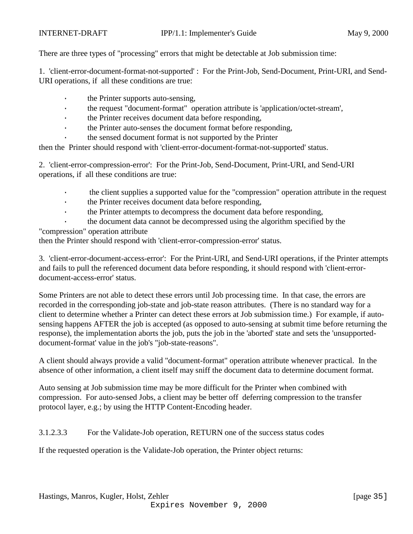<span id="page-34-0"></span>There are three types of "processing" errors that might be detectable at Job submission time:

1. 'client-error-document-format-not-supported' : For the Print-Job, Send-Document, Print-URI, and Send-URI operations, if all these conditions are true:

- the Printer supports auto-sensing,
- · the request "document-format" operation attribute is 'application/octet-stream',
- the Printer receives document data before responding,
- the Printer auto-senses the document format before responding,
- the sensed document format is not supported by the Printer

then the Printer should respond with 'client-error-document-format-not-supported' status.

2. 'client-error-compression-error': For the Print-Job, Send-Document, Print-URI, and Send-URI operations, if all these conditions are true:

- · the client supplies a supported value for the "compression" operation attribute in the request
- the Printer receives document data before responding,
- · the Printer attempts to decompress the document data before responding,
	- · the document data cannot be decompressed using the algorithm specified by the

# "compression" operation attribute

then the Printer should respond with 'client-error-compression-error' status.

3. 'client-error-document-access-error': For the Print-URI, and Send-URI operations, if the Printer attempts and fails to pull the referenced document data before responding, it should respond with 'client-errordocument-access-error' status.

Some Printers are not able to detect these errors until Job processing time. In that case, the errors are recorded in the corresponding job-state and job-state reason attributes. (There is no standard way for a client to determine whether a Printer can detect these errors at Job submission time.) For example, if autosensing happens AFTER the job is accepted (as opposed to auto-sensing at submit time before returning the response), the implementation aborts the job, puts the job in the 'aborted' state and sets the 'unsupporteddocument-format' value in the job's "job-state-reasons".

A client should always provide a valid "document-format" operation attribute whenever practical. In the absence of other information, a client itself may sniff the document data to determine document format.

Auto sensing at Job submission time may be more difficult for the Printer when combined with compression. For auto-sensed Jobs, a client may be better off deferring compression to the transfer protocol layer, e.g.; by using the HTTP Content-Encoding header.

3.1.2.3.3 For the Validate-Job operation, RETURN one of the success status codes

If the requested operation is the Validate-Job operation, the Printer object returns: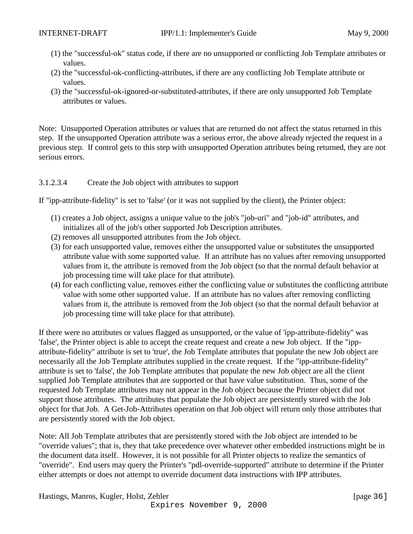- <span id="page-35-0"></span>(1) the "successful-ok" status code, if there are no unsupported or conflicting Job Template attributes or values.
- (2) the "successful-ok-conflicting-attributes, if there are any conflicting Job Template attribute or values.
- (3) the "successful-ok-ignored-or-substituted-attributes, if there are only unsupported Job Template attributes or values.

Note: Unsupported Operation attributes or values that are returned do not affect the status returned in this step. If the unsupported Operation attribute was a serious error, the above already rejected the request in a previous step. If control gets to this step with unsupported Operation attributes being returned, they are not serious errors.

# 3.1.2.3.4 Create the Job object with attributes to support

If "ipp-attribute-fidelity" is set to 'false' (or it was not supplied by the client), the Printer object:

- (1) creates a Job object, assigns a unique value to the job's "job-uri" and "job-id" attributes, and initializes all of the job's other supported Job Description attributes.
- (2) removes all unsupported attributes from the Job object.
- (3) for each unsupported value, removes either the unsupported value or substitutes the unsupported attribute value with some supported value. If an attribute has no values after removing unsupported values from it, the attribute is removed from the Job object (so that the normal default behavior at job processing time will take place for that attribute).
- (4) for each conflicting value, removes either the conflicting value or substitutes the conflicting attribute value with some other supported value. If an attribute has no values after removing conflicting values from it, the attribute is removed from the Job object (so that the normal default behavior at job processing time will take place for that attribute).

If there were no attributes or values flagged as unsupported, or the value of 'ipp-attribute-fidelity" was 'false', the Printer object is able to accept the create request and create a new Job object. If the "ippattribute-fidelity" attribute is set to 'true', the Job Template attributes that populate the new Job object are necessarily all the Job Template attributes supplied in the create request. If the "ipp-attribute-fidelity" attribute is set to 'false', the Job Template attributes that populate the new Job object are all the client supplied Job Template attributes that are supported or that have value substitution. Thus, some of the requested Job Template attributes may not appear in the Job object because the Printer object did not support those attributes. The attributes that populate the Job object are persistently stored with the Job object for that Job. A Get-Job-Attributes operation on that Job object will return only those attributes that are persistently stored with the Job object.

Note: All Job Template attributes that are persistently stored with the Job object are intended to be "override values"; that is, they that take precedence over whatever other embedded instructions might be in the document data itself. However, it is not possible for all Printer objects to realize the semantics of "override". End users may query the Printer's "pdl-override-supported" attribute to determine if the Printer either attempts or does not attempt to override document data instructions with IPP attributes.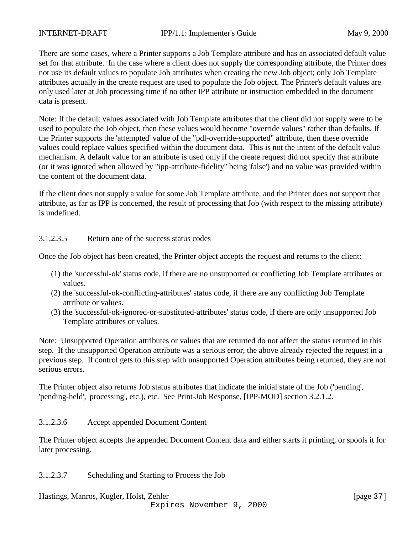<span id="page-36-0"></span>There are some cases, where a Printer supports a Job Template attribute and has an associated default value set for that attribute. In the case where a client does not supply the corresponding attribute, the Printer does not use its default values to populate Job attributes when creating the new Job object; only Job Template attributes actually in the create request are used to populate the Job object. The Printer's default values are only used later at Job processing time if no other IPP attribute or instruction embedded in the document data is present.

Note: If the default values associated with Job Template attributes that the client did not supply were to be used to populate the Job object, then these values would become "override values" rather than defaults. If the Printer supports the 'attempted' value of the "pdl-override-supported" attribute, then these override values could replace values specified within the document data. This is not the intent of the default value mechanism. A default value for an attribute is used only if the create request did not specify that attribute (or it was ignored when allowed by "ipp-attribute-fidelity" being 'false') and no value was provided within the content of the document data.

If the client does not supply a value for some Job Template attribute, and the Printer does not support that attribute, as far as IPP is concerned, the result of processing that Job (with respect to the missing attribute) is undefined.

# 3.1.2.3.5 Return one of the success status codes

Once the Job object has been created, the Printer object accepts the request and returns to the client:

- (1) the 'successful-ok' status code, if there are no unsupported or conflicting Job Template attributes or values.
- (2) the 'successful-ok-conflicting-attributes' status code, if there are any conflicting Job Template attribute or values.
- (3) the 'successful-ok-ignored-or-substituted-attributes' status code, if there are only unsupported Job Template attributes or values.

Note: Unsupported Operation attributes or values that are returned do not affect the status returned in this step. If the unsupported Operation attribute was a serious error, the above already rejected the request in a previous step. If control gets to this step with unsupported Operation attributes being returned, they are not serious errors.

The Printer object also returns Job status attributes that indicate the initial state of the Job ('pending', 'pending-held', 'processing', etc.), etc. See Print-Job Response, [IPP-MOD] section 3.2.1.2.

# 3.1.2.3.6 Accept appended Document Content

The Printer object accepts the appended Document Content data and either starts it printing, or spools it for later processing.

## 3.1.2.3.7 Scheduling and Starting to Process the Job

# Hastings, Manros, Kugler, Holst, Zehler [page 37]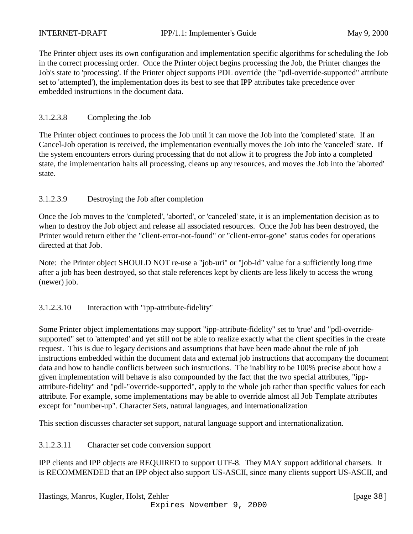<span id="page-37-0"></span>The Printer object uses its own configuration and implementation specific algorithms for scheduling the Job in the correct processing order. Once the Printer object begins processing the Job, the Printer changes the Job's state to 'processing'. If the Printer object supports PDL override (the "pdl-override-supported" attribute set to 'attempted'), the implementation does its best to see that IPP attributes take precedence over embedded instructions in the document data.

# 3.1.2.3.8 Completing the Job

The Printer object continues to process the Job until it can move the Job into the 'completed' state. If an Cancel-Job operation is received, the implementation eventually moves the Job into the 'canceled' state. If the system encounters errors during processing that do not allow it to progress the Job into a completed state, the implementation halts all processing, cleans up any resources, and moves the Job into the 'aborted' state.

# 3.1.2.3.9 Destroying the Job after completion

Once the Job moves to the 'completed', 'aborted', or 'canceled' state, it is an implementation decision as to when to destroy the Job object and release all associated resources. Once the Job has been destroyed, the Printer would return either the "client-error-not-found" or "client-error-gone" status codes for operations directed at that Job.

Note: the Printer object SHOULD NOT re-use a "job-uri" or "job-id" value for a sufficiently long time after a job has been destroyed, so that stale references kept by clients are less likely to access the wrong (newer) job.

# 3.1.2.3.10 Interaction with "ipp-attribute-fidelity"

Some Printer object implementations may support "ipp-attribute-fidelity" set to 'true' and "pdl-overridesupported" set to 'attempted' and yet still not be able to realize exactly what the client specifies in the create request. This is due to legacy decisions and assumptions that have been made about the role of job instructions embedded within the document data and external job instructions that accompany the document data and how to handle conflicts between such instructions. The inability to be 100% precise about how a given implementation will behave is also compounded by the fact that the two special attributes, "ippattribute-fidelity" and "pdl-"override-supported", apply to the whole job rather than specific values for each attribute. For example, some implementations may be able to override almost all Job Template attributes except for "number-up". Character Sets, natural languages, and internationalization

This section discusses character set support, natural language support and internationalization.

# 3.1.2.3.11 Character set code conversion support

IPP clients and IPP objects are REQUIRED to support UTF-8. They MAY support additional charsets. It is RECOMMENDED that an IPP object also support US-ASCII, since many clients support US-ASCII, and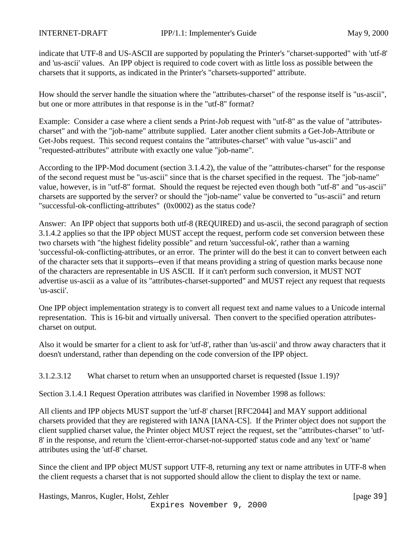<span id="page-38-0"></span>indicate that UTF-8 and US-ASCII are supported by populating the Printer's "charset-supported" with 'utf-8' and 'us-ascii' values. An IPP object is required to code covert with as little loss as possible between the charsets that it supports, as indicated in the Printer's "charsets-supported" attribute.

How should the server handle the situation where the "attributes-charset" of the response itself is "us-ascii", but one or more attributes in that response is in the "utf-8" format?

Example: Consider a case where a client sends a Print-Job request with "utf-8" as the value of "attributescharset" and with the "job-name" attribute supplied. Later another client submits a Get-Job-Attribute or Get-Jobs request. This second request contains the "attributes-charset" with value "us-ascii" and "requested-attributes" attribute with exactly one value "job-name".

According to the IPP-Mod document (section 3.1.4.2), the value of the "attributes-charset" for the response of the second request must be "us-ascii" since that is the charset specified in the request. The "job-name" value, however, is in "utf-8" format. Should the request be rejected even though both "utf-8" and "us-ascii" charsets are supported by the server? or should the "job-name" value be converted to "us-ascii" and return "successful-ok-conflicting-attributes" (0x0002) as the status code?

Answer: An IPP object that supports both utf-8 (REQUIRED) and us-ascii, the second paragraph of section 3.1.4.2 applies so that the IPP object MUST accept the request, perform code set conversion between these two charsets with "the highest fidelity possible" and return 'successful-ok', rather than a warning 'successful-ok-conflicting-attributes, or an error. The printer will do the best it can to convert between each of the character sets that it supports--even if that means providing a string of question marks because none of the characters are representable in US ASCII. If it can't perform such conversion, it MUST NOT advertise us-ascii as a value of its "attributes-charset-supported" and MUST reject any request that requests 'us-ascii'.

One IPP object implementation strategy is to convert all request text and name values to a Unicode internal representation. This is 16-bit and virtually universal. Then convert to the specified operation attributescharset on output.

Also it would be smarter for a client to ask for 'utf-8', rather than 'us-ascii' and throw away characters that it doesn't understand, rather than depending on the code conversion of the IPP object.

3.1.2.3.12 What charset to return when an unsupported charset is requested (Issue 1.19)?

Section 3.1.4.1 Request Operation attributes was clarified in November 1998 as follows:

All clients and IPP objects MUST support the 'utf-8' charset [RFC2044] and MAY support additional charsets provided that they are registered with IANA [IANA-CS]. If the Printer object does not support the client supplied charset value, the Printer object MUST reject the request, set the "attributes-charset" to 'utf-8' in the response, and return the 'client-error-charset-not-supported' status code and any 'text' or 'name' attributes using the 'utf-8' charset.

Since the client and IPP object MUST support UTF-8, returning any text or name attributes in UTF-8 when the client requests a charset that is not supported should allow the client to display the text or name.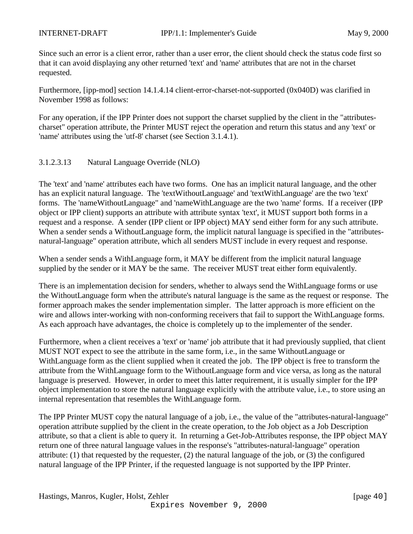<span id="page-39-0"></span>Since such an error is a client error, rather than a user error, the client should check the status code first so that it can avoid displaying any other returned 'text' and 'name' attributes that are not in the charset requested.

Furthermore, [ipp-mod] section 14.1.4.14 client-error-charset-not-supported (0x040D) was clarified in November 1998 as follows:

For any operation, if the IPP Printer does not support the charset supplied by the client in the "attributescharset" operation attribute, the Printer MUST reject the operation and return this status and any 'text' or 'name' attributes using the 'utf-8' charset (see Section 3.1.4.1).

# 3.1.2.3.13 Natural Language Override (NLO)

The 'text' and 'name' attributes each have two forms. One has an implicit natural language, and the other has an explicit natural language. The 'textWithoutLanguage' and 'textWithLanguage' are the two 'text' forms. The 'nameWithoutLanguage" and 'nameWithLanguage are the two 'name' forms. If a receiver (IPP object or IPP client) supports an attribute with attribute syntax 'text', it MUST support both forms in a request and a response. A sender (IPP client or IPP object) MAY send either form for any such attribute. When a sender sends a WithoutLanguage form, the implicit natural language is specified in the "attributesnatural-language" operation attribute, which all senders MUST include in every request and response.

When a sender sends a WithLanguage form, it MAY be different from the implicit natural language supplied by the sender or it MAY be the same. The receiver MUST treat either form equivalently.

There is an implementation decision for senders, whether to always send the WithLanguage forms or use the WithoutLanguage form when the attribute's natural language is the same as the request or response. The former approach makes the sender implementation simpler. The latter approach is more efficient on the wire and allows inter-working with non-conforming receivers that fail to support the WithLanguage forms. As each approach have advantages, the choice is completely up to the implementer of the sender.

Furthermore, when a client receives a 'text' or 'name' job attribute that it had previously supplied, that client MUST NOT expect to see the attribute in the same form, i.e., in the same WithoutLanguage or WithLanguage form as the client supplied when it created the job. The IPP object is free to transform the attribute from the WithLanguage form to the WithoutLanguage form and vice versa, as long as the natural language is preserved. However, in order to meet this latter requirement, it is usually simpler for the IPP object implementation to store the natural language explicitly with the attribute value, i.e., to store using an internal representation that resembles the WithLanguage form.

The IPP Printer MUST copy the natural language of a job, i.e., the value of the "attributes-natural-language" operation attribute supplied by the client in the create operation, to the Job object as a Job Description attribute, so that a client is able to query it. In returning a Get-Job-Attributes response, the IPP object MAY return one of three natural language values in the response's "attributes-natural-language" operation attribute: (1) that requested by the requester, (2) the natural language of the job, or (3) the configured natural language of the IPP Printer, if the requested language is not supported by the IPP Printer.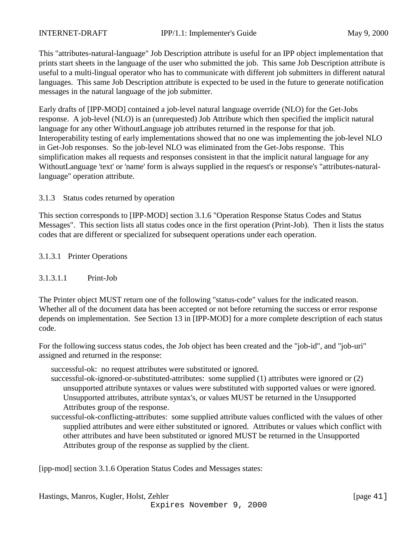<span id="page-40-0"></span>This "attributes-natural-language" Job Description attribute is useful for an IPP object implementation that prints start sheets in the language of the user who submitted the job. This same Job Description attribute is useful to a multi-lingual operator who has to communicate with different job submitters in different natural languages. This same Job Description attribute is expected to be used in the future to generate notification messages in the natural language of the job submitter.

Early drafts of [IPP-MOD] contained a job-level natural language override (NLO) for the Get-Jobs response. A job-level (NLO) is an (unrequested) Job Attribute which then specified the implicit natural language for any other WithoutLanguage job attributes returned in the response for that job. Interoperability testing of early implementations showed that no one was implementing the job-level NLO in Get-Job responses. So the job-level NLO was eliminated from the Get-Jobs response. This simplification makes all requests and responses consistent in that the implicit natural language for any WithoutLanguage 'text' or 'name' form is always supplied in the request's or response's "attributes-naturallanguage" operation attribute.

## 3.1.3 Status codes returned by operation

This section corresponds to [IPP-MOD] section 3.1.6 "Operation Response Status Codes and Status Messages". This section lists all status codes once in the first operation (Print-Job). Then it lists the status codes that are different or specialized for subsequent operations under each operation.

# 3.1.3.1 Printer Operations

# 3.1.3.1.1 Print-Job

The Printer object MUST return one of the following "status-code" values for the indicated reason. Whether all of the document data has been accepted or not before returning the success or error response depends on implementation. See Section 13 in [IPP-MOD] for a more complete description of each status code.

For the following success status codes, the Job object has been created and the "job-id", and "job-uri" assigned and returned in the response:

successful-ok: no request attributes were substituted or ignored.

- successful-ok-ignored-or-substituted-attributes: some supplied (1) attributes were ignored or (2) unsupported attribute syntaxes or values were substituted with supported values or were ignored. Unsupported attributes, attribute syntax's, or values MUST be returned in the Unsupported Attributes group of the response.
- successful-ok-conflicting-attributes: some supplied attribute values conflicted with the values of other supplied attributes and were either substituted or ignored. Attributes or values which conflict with other attributes and have been substituted or ignored MUST be returned in the Unsupported Attributes group of the response as supplied by the client.

[ipp-mod] section 3.1.6 Operation Status Codes and Messages states: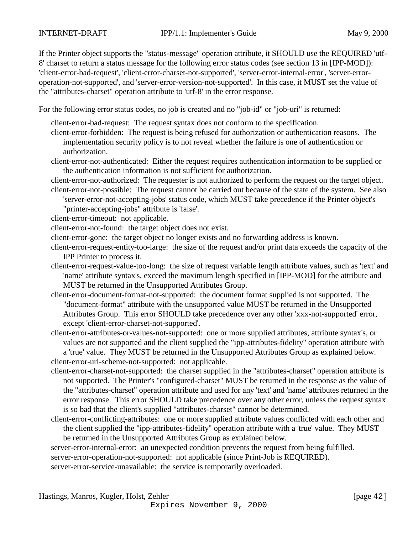If the Printer object supports the "status-message" operation attribute, it SHOULD use the REQUIRED 'utf-8' charset to return a status message for the following error status codes (see section 13 in [IPP-MOD]): 'client-error-bad-request', 'client-error-charset-not-supported', 'server-error-internal-error', 'server-erroroperation-not-supported', and 'server-error-version-not-supported'. In this case, it MUST set the value of the "attributes-charset" operation attribute to 'utf-8' in the error response.

For the following error status codes, no job is created and no "job-id" or "job-uri" is returned:

client-error-bad-request: The request syntax does not conform to the specification.

client-error-forbidden: The request is being refused for authorization or authentication reasons. The implementation security policy is to not reveal whether the failure is one of authentication or authorization.

client-error-not-authenticated: Either the request requires authentication information to be supplied or the authentication information is not sufficient for authorization.

client-error-not-authorized: The requester is not authorized to perform the request on the target object. client-error-not-possible: The request cannot be carried out because of the state of the system. See also

'server-error-not-accepting-jobs' status code, which MUST take precedence if the Printer object's "printer-accepting-jobs" attribute is 'false'.

client-error-timeout: not applicable.

client-error-not-found: the target object does not exist.

client-error-gone: the target object no longer exists and no forwarding address is known.

client-error-request-entity-too-large: the size of the request and/or print data exceeds the capacity of the IPP Printer to process it.

client-error-request-value-too-long: the size of request variable length attribute values, such as 'text' and 'name' attribute syntax's, exceed the maximum length specified in [IPP-MOD] for the attribute and

MUST be returned in the Unsupported Attributes Group.

client-error-document-format-not-supported: the document format supplied is not supported. The "document-format" attribute with the unsupported value MUST be returned in the Unsupported Attributes Group. This error SHOULD take precedence over any other 'xxx-not-supported' error, except 'client-error-charset-not-supported'.

client-error-attributes-or-values-not-supported: one or more supplied attributes, attribute syntax's, or values are not supported and the client supplied the "ipp-attributes-fidelity" operation attribute with a 'true' value. They MUST be returned in the Unsupported Attributes Group as explained below.

client-error-uri-scheme-not-supported: not applicable.

- client-error-charset-not-supported: the charset supplied in the "attributes-charset" operation attribute is not supported. The Printer's "configured-charset" MUST be returned in the response as the value of the "attributes-charset" operation attribute and used for any 'text' and 'name' attributes returned in the error response. This error SHOULD take precedence over any other error, unless the request syntax is so bad that the client's supplied "attributes-charset" cannot be determined.
- client-error-conflicting-attributes: one or more supplied attribute values conflicted with each other and the client supplied the "ipp-attributes-fidelity" operation attribute with a 'true' value. They MUST be returned in the Unsupported Attributes Group as explained below.

server-error-internal-error: an unexpected condition prevents the request from being fulfilled.

server-error-operation-not-supported: not applicable (since Print-Job is REQUIRED).

server-error-service-unavailable: the service is temporarily overloaded.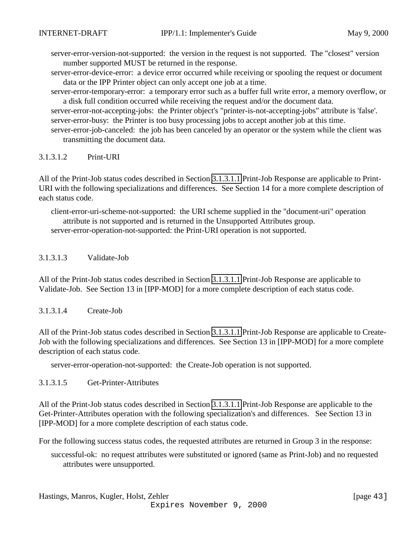- <span id="page-42-0"></span>server-error-version-not-supported: the version in the request is not supported. The "closest" version number supported MUST be returned in the response.
- server-error-device-error: a device error occurred while receiving or spooling the request or document data or the IPP Printer object can only accept one job at a time.

server-error-temporary-error: a temporary error such as a buffer full write error, a memory overflow, or a disk full condition occurred while receiving the request and/or the document data.

server-error-not-accepting-jobs: the Printer object's "printer-is-not-accepting-jobs" attribute is 'false'. server-error-busy: the Printer is too busy processing jobs to accept another job at this time.

server-error-job-canceled: the job has been canceled by an operator or the system while the client was transmitting the document data.

## 3.1.3.1.2 Print-URI

All of the Print-Job status codes described in Section [3.1.3.1.1](#page-40-0) Print-Job Response are applicable to Print-URI with the following specializations and differences. See Section 14 for a more complete description of each status code.

client-error-uri-scheme-not-supported: the URI scheme supplied in the "document-uri" operation attribute is not supported and is returned in the Unsupported Attributes group. server-error-operation-not-supported: the Print-URI operation is not supported.

#### 3.1.3.1.3 Validate-Job

All of the Print-Job status codes described in Section [3.1.3.1.1](#page-40-0) Print-Job Response are applicable to Validate-Job. See Section 13 in [IPP-MOD] for a more complete description of each status code.

#### 3.1.3.1.4 Create-Job

All of the Print-Job status codes described in Section [3.1.3.1.1](#page-40-0) Print-Job Response are applicable to Create-Job with the following specializations and differences. See Section 13 in [IPP-MOD] for a more complete description of each status code.

server-error-operation-not-supported: the Create-Job operation is not supported.

# 3.1.3.1.5 Get-Printer-Attributes

All of the Print-Job status codes described in Section [3.1.3.1.1](#page-40-0) Print-Job Response are applicable to the Get-Printer-Attributes operation with the following specialization's and differences. See Section 13 in [IPP-MOD] for a more complete description of each status code.

For the following success status codes, the requested attributes are returned in Group 3 in the response:

successful-ok: no request attributes were substituted or ignored (same as Print-Job) and no requested attributes were unsupported.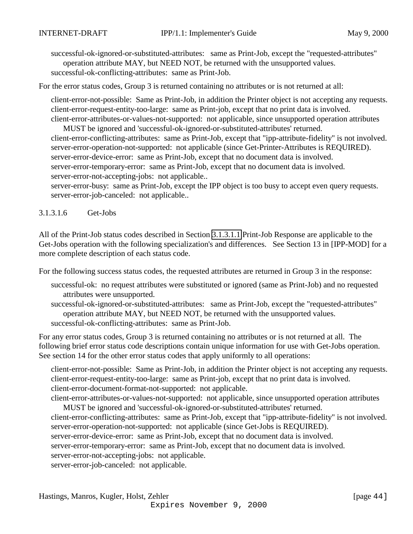<span id="page-43-0"></span>successful-ok-ignored-or-substituted-attributes: same as Print-Job, except the "requested-attributes" operation attribute MAY, but NEED NOT, be returned with the unsupported values. successful-ok-conflicting-attributes: same as Print-Job.

For the error status codes, Group 3 is returned containing no attributes or is not returned at all:

client-error-not-possible: Same as Print-Job, in addition the Printer object is not accepting any requests. client-error-request-entity-too-large: same as Print-job, except that no print data is involved. client-error-attributes-or-values-not-supported: not applicable, since unsupported operation attributes

MUST be ignored and 'successful-ok-ignored-or-substituted-attributes' returned. client-error-conflicting-attributes: same as Print-Job, except that "ipp-attribute-fidelity" is not involved. server-error-operation-not-supported: not applicable (since Get-Printer-Attributes is REQUIRED). server-error-device-error: same as Print-Job, except that no document data is involved. server-error-temporary-error: same as Print-Job, except that no document data is involved. server-error-not-accepting-jobs: not applicable.. server-error-busy: same as Print-Job, except the IPP object is too busy to accept even query requests.

server-error-job-canceled: not applicable..

#### 3.1.3.1.6 Get-Jobs

All of the Print-Job status codes described in Section [3.1.3.1.1](#page-40-0) Print-Job Response are applicable to the Get-Jobs operation with the following specialization's and differences. See Section 13 in [IPP-MOD] for a more complete description of each status code.

For the following success status codes, the requested attributes are returned in Group 3 in the response:

- successful-ok: no request attributes were substituted or ignored (same as Print-Job) and no requested attributes were unsupported.
- successful-ok-ignored-or-substituted-attributes: same as Print-Job, except the "requested-attributes" operation attribute MAY, but NEED NOT, be returned with the unsupported values. successful-ok-conflicting-attributes: same as Print-Job.

For any error status codes, Group 3 is returned containing no attributes or is not returned at all. The following brief error status code descriptions contain unique information for use with Get-Jobs operation. See section 14 for the other error status codes that apply uniformly to all operations:

client-error-not-possible: Same as Print-Job, in addition the Printer object is not accepting any requests. client-error-request-entity-too-large: same as Print-job, except that no print data is involved. client-error-document-format-not-supported: not applicable.

client-error-attributes-or-values-not-supported: not applicable, since unsupported operation attributes MUST be ignored and 'successful-ok-ignored-or-substituted-attributes' returned.

client-error-conflicting-attributes: same as Print-Job, except that "ipp-attribute-fidelity" is not involved. server-error-operation-not-supported: not applicable (since Get-Jobs is REQUIRED). server-error-device-error: same as Print-Job, except that no document data is involved.

server-error-temporary-error: same as Print-Job, except that no document data is involved.

server-error-not-accepting-jobs: not applicable.

server-error-job-canceled: not applicable.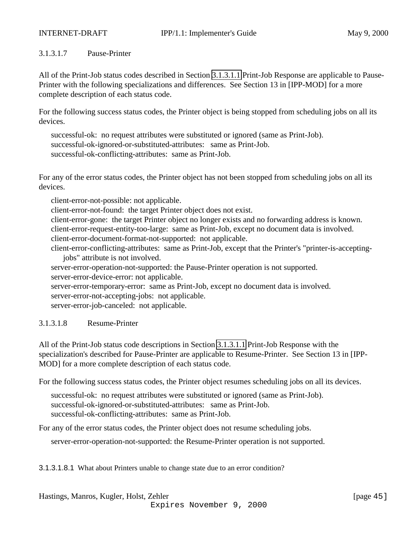# <span id="page-44-0"></span>3.1.3.1.7 Pause-Printer

All of the Print-Job status codes described in Section [3.1.3.1.1](#page-40-0) Print-Job Response are applicable to Pause-Printer with the following specializations and differences. See Section 13 in [IPP-MOD] for a more complete description of each status code.

For the following success status codes, the Printer object is being stopped from scheduling jobs on all its devices.

successful-ok: no request attributes were substituted or ignored (same as Print-Job). successful-ok-ignored-or-substituted-attributes: same as Print-Job. successful-ok-conflicting-attributes: same as Print-Job.

For any of the error status codes, the Printer object has not been stopped from scheduling jobs on all its devices.

client-error-not-possible: not applicable.

client-error-not-found: the target Printer object does not exist.

client-error-gone: the target Printer object no longer exists and no forwarding address is known. client-error-request-entity-too-large: same as Print-Job, except no document data is involved.

client-error-document-format-not-supported: not applicable.

client-error-conflicting-attributes: same as Print-Job, except that the Printer's "printer-is-acceptingjobs" attribute is not involved.

server-error-operation-not-supported: the Pause-Printer operation is not supported. server-error-device-error: not applicable.

server-error-temporary-error: same as Print-Job, except no document data is involved. server-error-not-accepting-jobs: not applicable.

server-error-job-canceled: not applicable.

# 3.1.3.1.8 Resume-Printer

All of the Print-Job status code descriptions in Section [3.1.3.1.1](#page-40-0) Print-Job Response with the specialization's described for Pause-Printer are applicable to Resume-Printer. See Section 13 in [IPP-MOD] for a more complete description of each status code.

For the following success status codes, the Printer object resumes scheduling jobs on all its devices.

successful-ok: no request attributes were substituted or ignored (same as Print-Job). successful-ok-ignored-or-substituted-attributes: same as Print-Job. successful-ok-conflicting-attributes: same as Print-Job.

For any of the error status codes, the Printer object does not resume scheduling jobs.

server-error-operation-not-supported: the Resume-Printer operation is not supported.

3.1.3.1.8.1 What about Printers unable to change state due to an error condition?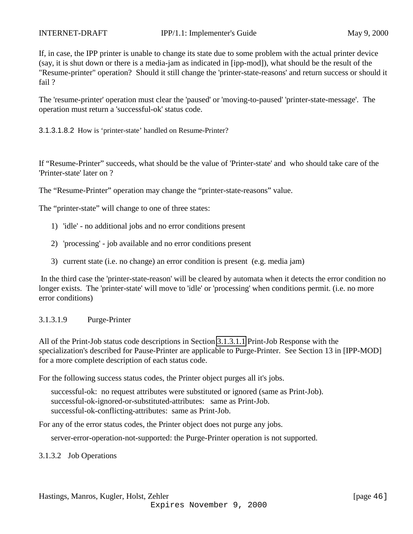<span id="page-45-0"></span>If, in case, the IPP printer is unable to change its state due to some problem with the actual printer device (say, it is shut down or there is a media-jam as indicated in [ipp-mod]), what should be the result of the "Resume-printer" operation? Should it still change the 'printer-state-reasons' and return success or should it fail ?

The 'resume-printer' operation must clear the 'paused' or 'moving-to-paused' 'printer-state-message'. The operation must return a 'successful-ok' status code.

3.1.3.1.8.2 How is 'printer-state' handled on Resume-Printer?

If "Resume-Printer" succeeds, what should be the value of 'Printer-state' and who should take care of the 'Printer-state' later on ?

The "Resume-Printer" operation may change the "printer-state-reasons" value.

The "printer-state" will change to one of three states:

- 1) 'idle' no additional jobs and no error conditions present
- 2) 'processing' job available and no error conditions present
- 3) current state (i.e. no change) an error condition is present (e.g. media jam)

 In the third case the 'printer-state-reason' will be cleared by automata when it detects the error condition no longer exists. The 'printer-state' will move to 'idle' or 'processing' when conditions permit. (i.e. no more error conditions)

# 3.1.3.1.9 Purge-Printer

All of the Print-Job status code descriptions in Section [3.1.3.1.1](#page-40-0) Print-Job Response with the specialization's described for Pause-Printer are applicable to Purge-Printer. See Section 13 in [IPP-MOD] for a more complete description of each status code.

For the following success status codes, the Printer object purges all it's jobs.

successful-ok: no request attributes were substituted or ignored (same as Print-Job). successful-ok-ignored-or-substituted-attributes: same as Print-Job. successful-ok-conflicting-attributes: same as Print-Job.

For any of the error status codes, the Printer object does not purge any jobs.

server-error-operation-not-supported: the Purge-Printer operation is not supported.

3.1.3.2 Job Operations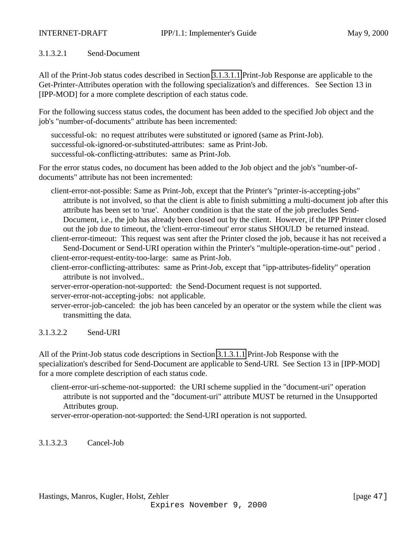# <span id="page-46-0"></span>3.1.3.2.1 Send-Document

All of the Print-Job status codes described in Section [3.1.3.1.1](#page-40-0) Print-Job Response are applicable to the Get-Printer-Attributes operation with the following specialization's and differences. See Section 13 in [IPP-MOD] for a more complete description of each status code.

For the following success status codes, the document has been added to the specified Job object and the job's "number-of-documents" attribute has been incremented:

successful-ok: no request attributes were substituted or ignored (same as Print-Job). successful-ok-ignored-or-substituted-attributes: same as Print-Job. successful-ok-conflicting-attributes: same as Print-Job.

For the error status codes, no document has been added to the Job object and the job's "number-ofdocuments" attribute has not been incremented:

client-error-not-possible: Same as Print-Job, except that the Printer's "printer-is-accepting-jobs" attribute is not involved, so that the client is able to finish submitting a multi-document job after this attribute has been set to 'true'. Another condition is that the state of the job precludes Send-Document, i.e., the job has already been closed out by the client. However, if the IPP Printer closed out the job due to timeout, the 'client-error-timeout' error status SHOULD be returned instead.

client-error-timeout: This request was sent after the Printer closed the job, because it has not received a Send-Document or Send-URI operation within the Printer's "multiple-operation-time-out" period . client-error-request-entity-too-large: same as Print-Job.

client-error-conflicting-attributes: same as Print-Job, except that "ipp-attributes-fidelity" operation attribute is not involved..

server-error-operation-not-supported: the Send-Document request is not supported. server-error-not-accepting-jobs: not applicable.

server-error-job-canceled: the job has been canceled by an operator or the system while the client was transmitting the data.

## 3.1.3.2.2 Send-URI

All of the Print-Job status code descriptions in Section [3.1.3.1.1](#page-40-0) Print-Job Response with the specialization's described for Send-Document are applicable to Send-URI. See Section 13 in [IPP-MOD] for a more complete description of each status code.

client-error-uri-scheme-not-supported: the URI scheme supplied in the "document-uri" operation attribute is not supported and the "document-uri" attribute MUST be returned in the Unsupported Attributes group.

server-error-operation-not-supported: the Send-URI operation is not supported.

3.1.3.2.3 Cancel-Job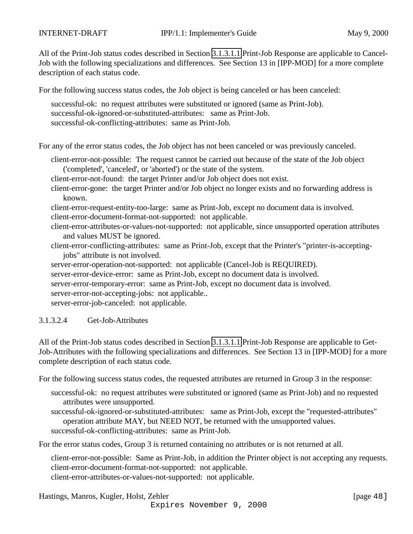<span id="page-47-0"></span>All of the Print-Job status codes described in Section [3.1.3.1.1](#page-40-0) Print-Job Response are applicable to Cancel-Job with the following specializations and differences. See Section 13 in [IPP-MOD] for a more complete description of each status code.

For the following success status codes, the Job object is being canceled or has been canceled:

successful-ok: no request attributes were substituted or ignored (same as Print-Job). successful-ok-ignored-or-substituted-attributes: same as Print-Job. successful-ok-conflicting-attributes: same as Print-Job.

For any of the error status codes, the Job object has not been canceled or was previously canceled.

client-error-not-possible: The request cannot be carried out because of the state of the Job object ('completed', 'canceled', or 'aborted') or the state of the system.

client-error-not-found: the target Printer and/or Job object does not exist.

client-error-gone: the target Printer and/or Job object no longer exists and no forwarding address is known.

client-error-request-entity-too-large: same as Print-Job, except no document data is involved. client-error-document-format-not-supported: not applicable.

- client-error-attributes-or-values-not-supported: not applicable, since unsupported operation attributes and values MUST be ignored.
- client-error-conflicting-attributes: same as Print-Job, except that the Printer's "printer-is-acceptingjobs" attribute is not involved.
- server-error-operation-not-supported: not applicable (Cancel-Job is REQUIRED).
- server-error-device-error: same as Print-Job, except no document data is involved.
- server-error-temporary-error: same as Print-Job, except no document data is involved.

server-error-not-accepting-jobs: not applicable..

server-error-job-canceled: not applicable.

# 3.1.3.2.4 Get-Job-Attributes

All of the Print-Job status codes described in Section [3.1.3.1.1](#page-40-0) Print-Job Response are applicable to Get-Job-Attributes with the following specializations and differences. See Section 13 in [IPP-MOD] for a more complete description of each status code.

For the following success status codes, the requested attributes are returned in Group 3 in the response:

- successful-ok: no request attributes were substituted or ignored (same as Print-Job) and no requested attributes were unsupported.
- successful-ok-ignored-or-substituted-attributes: same as Print-Job, except the "requested-attributes" operation attribute MAY, but NEED NOT, be returned with the unsupported values. successful-ok-conflicting-attributes: same as Print-Job.

For the error status codes, Group 3 is returned containing no attributes or is not returned at all.

client-error-not-possible: Same as Print-Job, in addition the Printer object is not accepting any requests. client-error-document-format-not-supported: not applicable. client-error-attributes-or-values-not-supported: not applicable.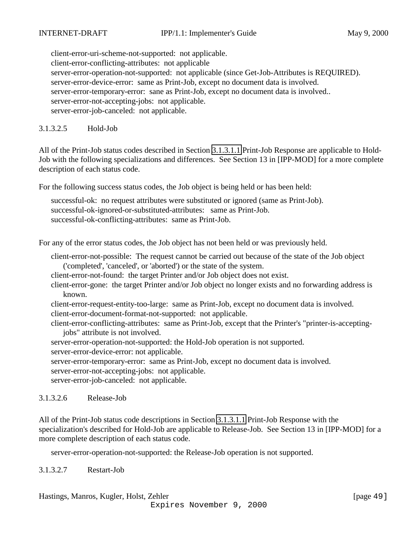<span id="page-48-0"></span>client-error-uri-scheme-not-supported: not applicable. client-error-conflicting-attributes: not applicable server-error-operation-not-supported: not applicable (since Get-Job-Attributes is REQUIRED). server-error-device-error: same as Print-Job, except no document data is involved. server-error-temporary-error: sane as Print-Job, except no document data is involved.. server-error-not-accepting-jobs: not applicable. server-error-job-canceled: not applicable.

3.1.3.2.5 Hold-Job

All of the Print-Job status codes described in Section [3.1.3.1.1](#page-40-0) Print-Job Response are applicable to Hold-Job with the following specializations and differences. See Section 13 in [IPP-MOD] for a more complete description of each status code.

For the following success status codes, the Job object is being held or has been held:

successful-ok: no request attributes were substituted or ignored (same as Print-Job). successful-ok-ignored-or-substituted-attributes: same as Print-Job. successful-ok-conflicting-attributes: same as Print-Job.

For any of the error status codes, the Job object has not been held or was previously held.

client-error-not-possible: The request cannot be carried out because of the state of the Job object ('completed', 'canceled', or 'aborted') or the state of the system.

client-error-not-found: the target Printer and/or Job object does not exist.

client-error-gone: the target Printer and/or Job object no longer exists and no forwarding address is known.

- client-error-request-entity-too-large: same as Print-Job, except no document data is involved. client-error-document-format-not-supported: not applicable.
- client-error-conflicting-attributes: same as Print-Job, except that the Printer's "printer-is-acceptingjobs" attribute is not involved.
- server-error-operation-not-supported: the Hold-Job operation is not supported.
- server-error-device-error: not applicable.
- server-error-temporary-error: same as Print-Job, except no document data is involved.
- server-error-not-accepting-jobs: not applicable.

server-error-job-canceled: not applicable.

## 3.1.3.2.6 Release-Job

All of the Print-Job status code descriptions in Section [3.1.3.1.1](#page-40-0) Print-Job Response with the specialization's described for Hold-Job are applicable to Release-Job. See Section 13 in [IPP-MOD] for a more complete description of each status code.

server-error-operation-not-supported: the Release-Job operation is not supported.

3.1.3.2.7 Restart-Job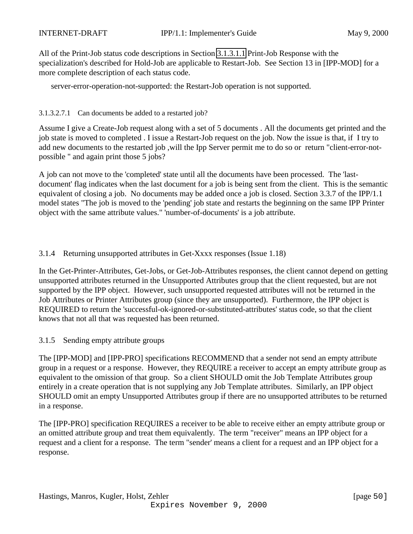<span id="page-49-0"></span>All of the Print-Job status code descriptions in Section [3.1.3.1.1](#page-40-0) Print-Job Response with the specialization's described for Hold-Job are applicable to Restart-Job. See Section 13 in [IPP-MOD] for a more complete description of each status code.

server-error-operation-not-supported: the Restart-Job operation is not supported.

# 3.1.3.2.7.1 Can documents be added to a restarted job?

Assume I give a Create-Job request along with a set of 5 documents . All the documents get printed and the job state is moved to completed . I issue a Restart-Job request on the job. Now the issue is that, if I try to add new documents to the restarted job ,will the Ipp Server permit me to do so or return "client-error-notpossible " and again print those 5 jobs?

A job can not move to the 'completed' state until all the documents have been processed. The 'lastdocument' flag indicates when the last document for a job is being sent from the client. This is the semantic equivalent of closing a job. No documents may be added once a job is closed. Section 3.3.7 of the IPP/1.1 model states "The job is moved to the 'pending' job state and restarts the beginning on the same IPP Printer object with the same attribute values." 'number-of-documents' is a job attribute.

# 3.1.4 Returning unsupported attributes in Get-Xxxx responses (Issue 1.18)

In the Get-Printer-Attributes, Get-Jobs, or Get-Job-Attributes responses, the client cannot depend on getting unsupported attributes returned in the Unsupported Attributes group that the client requested, but are not supported by the IPP object. However, such unsupported requested attributes will not be returned in the Job Attributes or Printer Attributes group (since they are unsupported). Furthermore, the IPP object is REQUIRED to return the 'successful-ok-ignored-or-substituted-attributes' status code, so that the client knows that not all that was requested has been returned.

## 3.1.5 Sending empty attribute groups

The [IPP-MOD] and [IPP-PRO] specifications RECOMMEND that a sender not send an empty attribute group in a request or a response. However, they REQUIRE a receiver to accept an empty attribute group as equivalent to the omission of that group. So a client SHOULD omit the Job Template Attributes group entirely in a create operation that is not supplying any Job Template attributes. Similarly, an IPP object SHOULD omit an empty Unsupported Attributes group if there are no unsupported attributes to be returned in a response.

The [IPP-PRO] specification REQUIRES a receiver to be able to receive either an empty attribute group or an omitted attribute group and treat them equivalently. The term "receiver" means an IPP object for a request and a client for a response. The term "sender' means a client for a request and an IPP object for a response.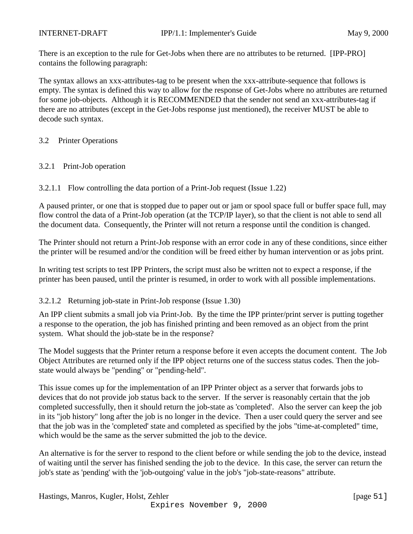<span id="page-50-0"></span>

There is an exception to the rule for Get-Jobs when there are no attributes to be returned. [IPP-PRO] contains the following paragraph:

The syntax allows an xxx-attributes-tag to be present when the xxx-attribute-sequence that follows is empty. The syntax is defined this way to allow for the response of Get-Jobs where no attributes are returned for some job-objects. Although it is RECOMMENDED that the sender not send an xxx-attributes-tag if there are no attributes (except in the Get-Jobs response just mentioned), the receiver MUST be able to decode such syntax.

# 3.2 Printer Operations

## 3.2.1 Print-Job operation

3.2.1.1 Flow controlling the data portion of a Print-Job request (Issue 1.22)

A paused printer, or one that is stopped due to paper out or jam or spool space full or buffer space full, may flow control the data of a Print-Job operation (at the TCP/IP layer), so that the client is not able to send all the document data. Consequently, the Printer will not return a response until the condition is changed.

The Printer should not return a Print-Job response with an error code in any of these conditions, since either the printer will be resumed and/or the condition will be freed either by human intervention or as jobs print.

In writing test scripts to test IPP Printers, the script must also be written not to expect a response, if the printer has been paused, until the printer is resumed, in order to work with all possible implementations.

## 3.2.1.2 Returning job-state in Print-Job response (Issue 1.30)

An IPP client submits a small job via Print-Job. By the time the IPP printer/print server is putting together a response to the operation, the job has finished printing and been removed as an object from the print system. What should the job-state be in the response?

The Model suggests that the Printer return a response before it even accepts the document content. The Job Object Attributes are returned only if the IPP object returns one of the success status codes. Then the jobstate would always be "pending" or "pending-held".

This issue comes up for the implementation of an IPP Printer object as a server that forwards jobs to devices that do not provide job status back to the server. If the server is reasonably certain that the job completed successfully, then it should return the job-state as 'completed'. Also the server can keep the job in its "job history" long after the job is no longer in the device. Then a user could query the server and see that the job was in the 'completed' state and completed as specified by the jobs "time-at-completed" time, which would be the same as the server submitted the job to the device.

An alternative is for the server to respond to the client before or while sending the job to the device, instead of waiting until the server has finished sending the job to the device. In this case, the server can return the job's state as 'pending' with the 'job-outgoing' value in the job's "job-state-reasons" attribute.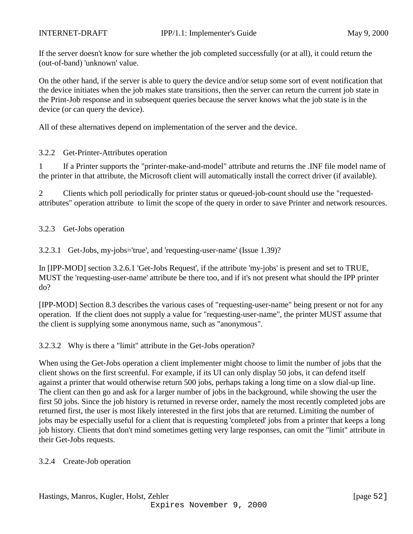<span id="page-51-0"></span>If the server doesn't know for sure whether the job completed successfully (or at all), it could return the (out-of-band) 'unknown' value.

On the other hand, if the server is able to query the device and/or setup some sort of event notification that the device initiates when the job makes state transitions, then the server can return the current job state in the Print-Job response and in subsequent queries because the server knows what the job state is in the device (or can query the device).

All of these alternatives depend on implementation of the server and the device.

# 3.2.2 Get-Printer-Attributes operation

1 If a Printer supports the "printer-make-and-model" attribute and returns the .INF file model name of the printer in that attribute, the Microsoft client will automatically install the correct driver (if available).

2 Clients which poll periodically for printer status or queued-job-count should use the "requestedattributes" operation attribute to limit the scope of the query in order to save Printer and network resources.

# 3.2.3 Get-Jobs operation

3.2.3.1 Get-Jobs, my-jobs='true', and 'requesting-user-name' (Issue 1.39)?

In [IPP-MOD] section 3.2.6.1 'Get-Jobs Request', if the attribute 'my-jobs' is present and set to TRUE, MUST the 'requesting-user-name' attribute be there too, and if it's not present what should the IPP printer do?

[IPP-MOD] Section 8.3 describes the various cases of "requesting-user-name" being present or not for any operation. If the client does not supply a value for "requesting-user-name", the printer MUST assume that the client is supplying some anonymous name, such as "anonymous".

3.2.3.2 Why is there a "limit" attribute in the Get-Jobs operation?

When using the Get-Jobs operation a client implementer might choose to limit the number of jobs that the client shows on the first screenful. For example, if its UI can only display 50 jobs, it can defend itself against a printer that would otherwise return 500 jobs, perhaps taking a long time on a slow dial-up line. The client can then go and ask for a larger number of jobs in the background, while showing the user the first 50 jobs. Since the job history is returned in reverse order, namely the most recently completed jobs are returned first, the user is most likely interested in the first jobs that are returned. Limiting the number of jobs may be especially useful for a client that is requesting 'completed' jobs from a printer that keeps a long job history. Clients that don't mind sometimes getting very large responses, can omit the "limit" attribute in their Get-Jobs requests.

## 3.2.4 Create-Job operation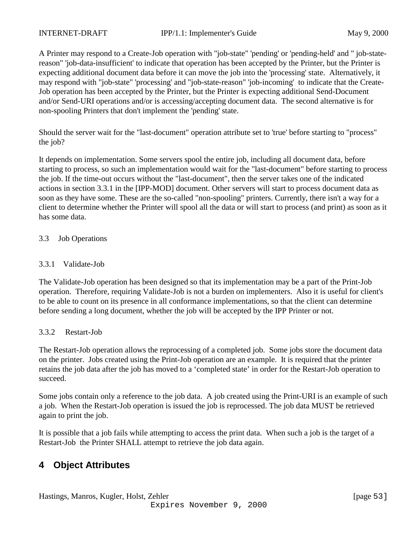<span id="page-52-0"></span>A Printer may respond to a Create-Job operation with "job-state" 'pending' or 'pending-held' and " job-statereason" 'job-data-insufficient' to indicate that operation has been accepted by the Printer, but the Printer is expecting additional document data before it can move the job into the 'processing' state. Alternatively, it may respond with "job-state" 'processing' and "job-state-reason" 'job-incoming' to indicate that the Create-Job operation has been accepted by the Printer, but the Printer is expecting additional Send-Document and/or Send-URI operations and/or is accessing/accepting document data. The second alternative is for non-spooling Printers that don't implement the 'pending' state.

Should the server wait for the "last-document" operation attribute set to 'true' before starting to "process" the job?

It depends on implementation. Some servers spool the entire job, including all document data, before starting to process, so such an implementation would wait for the "last-document" before starting to process the job. If the time-out occurs without the "last-document", then the server takes one of the indicated actions in section 3.3.1 in the [IPP-MOD] document. Other servers will start to process document data as soon as they have some. These are the so-called "non-spooling" printers. Currently, there isn't a way for a client to determine whether the Printer will spool all the data or will start to process (and print) as soon as it has some data.

# 3.3 Job Operations

## 3.3.1 Validate-Job

The Validate-Job operation has been designed so that its implementation may be a part of the Print-Job operation. Therefore, requiring Validate-Job is not a burden on implementers. Also it is useful for client's to be able to count on its presence in all conformance implementations, so that the client can determine before sending a long document, whether the job will be accepted by the IPP Printer or not.

## 3.3.2 Restart-Job

The Restart-Job operation allows the reprocessing of a completed job. Some jobs store the document data on the printer. Jobs created using the Print-Job operation are an example. It is required that the printer retains the job data after the job has moved to a 'completed state' in order for the Restart-Job operation to succeed.

Some jobs contain only a reference to the job data. A job created using the Print-URI is an example of such a job. When the Restart-Job operation is issued the job is reprocessed. The job data MUST be retrieved again to print the job.

It is possible that a job fails while attempting to access the print data. When such a job is the target of a Restart-Job the Printer SHALL attempt to retrieve the job data again.

# **4 Object Attributes**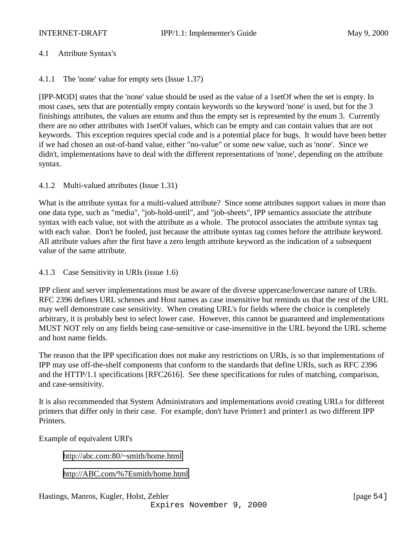<span id="page-53-0"></span>4.1 Attribute Syntax's

4.1.1 The 'none' value for empty sets (Issue 1.37)

[IPP-MOD] states that the 'none' value should be used as the value of a 1setOf when the set is empty. In most cases, sets that are potentially empty contain keywords so the keyword 'none' is used, but for the 3 finishings attributes, the values are enums and thus the empty set is represented by the enum 3. Currently there are no other attributes with 1setOf values, which can be empty and can contain values that are not keywords. This exception requires special code and is a potential place for bugs. It would have been better if we had chosen an out-of-band value, either "no-value" or some new value, such as 'none'. Since we didn't, implementations have to deal with the different representations of 'none', depending on the attribute syntax.

## 4.1.2 Multi-valued attributes (Issue 1.31)

What is the attribute syntax for a multi-valued attribute? Since some attributes support values in more than one data type, such as "media", "job-hold-until", and "job-sheets", IPP semantics associate the attribute syntax with each value, not with the attribute as a whole. The protocol associates the attribute syntax tag with each value. Don't be fooled, just because the attribute syntax tag comes before the attribute keyword. All attribute values after the first have a zero length attribute keyword as the indication of a subsequent value of the same attribute.

## 4.1.3 Case Sensitivity in URIs (issue 1.6)

IPP client and server implementations must be aware of the diverse uppercase/lowercase nature of URIs. RFC 2396 defines URL schemes and Host names as case insensitive but reminds us that the rest of the URL may well demonstrate case sensitivity. When creating URL's for fields where the choice is completely arbitrary, it is probably best to select lower case. However, this cannot be guaranteed and implementations MUST NOT rely on any fields being case-sensitive or case-insensitive in the URL beyond the URL scheme and host name fields.

The reason that the IPP specification does not make any restrictions on URIs, is so that implementations of IPP may use off-the-shelf components that conform to the standards that define URIs, such as RFC 2396 and the HTTP/1.1 specifications [RFC2616]. See these specifications for rules of matching, comparison, and case-sensitivity.

It is also recommended that System Administrators and implementations avoid creating URLs for different printers that differ only in their case. For example, don't have Printer1 and printer1 as two different IPP **Printers** 

Example of equivalent URI's

[http://abc.com:80/~smith/home.html](http://abc.com/~smith/home.html)

[http://ABC.com/%7Esmith/home.html](http://abc.com/%7Esmith/home.html)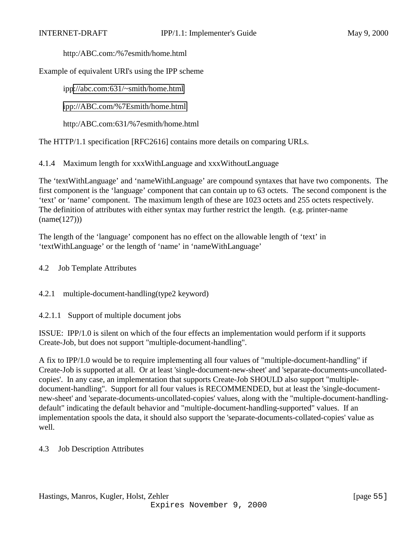http:/ABC.com:/%7esmith/home.html

<span id="page-54-0"></span>Example of equivalent URI's using the IPP scheme

ipp[://abc.com:631/~smith/home.html](http://abc.com/~smith/home.html)

[ipp://ABC.com/%7Esmith/home.html](http://abc.com/%7Esmith/home.html)

http:/ABC.com:631/%7esmith/home.html

The HTTP/1.1 specification [RFC2616] contains more details on comparing URLs.

4.1.4 Maximum length for xxxWithLanguage and xxxWithoutLanguage

The 'textWithLanguage' and 'nameWithLanguage' are compound syntaxes that have two components. The first component is the 'language' component that can contain up to 63 octets. The second component is the 'text' or 'name' component. The maximum length of these are 1023 octets and 255 octets respectively. The definition of attributes with either syntax may further restrict the length. (e.g. printer-name  $(name(127)))$ 

The length of the 'language' component has no effect on the allowable length of 'text' in 'textWithLanguage' or the length of 'name' in 'nameWithLanguage'

4.2 Job Template Attributes

4.2.1 multiple-document-handling(type2 keyword)

4.2.1.1 Support of multiple document jobs

ISSUE: IPP/1.0 is silent on which of the four effects an implementation would perform if it supports Create-Job, but does not support "multiple-document-handling".

A fix to IPP/1.0 would be to require implementing all four values of "multiple-document-handling" if Create-Job is supported at all. Or at least 'single-document-new-sheet' and 'separate-documents-uncollatedcopies'. In any case, an implementation that supports Create-Job SHOULD also support "multipledocument-handling". Support for all four values is RECOMMENDED, but at least the 'single-documentnew-sheet' and 'separate-documents-uncollated-copies' values, along with the "multiple-document-handlingdefault" indicating the default behavior and "multiple-document-handling-supported" values. If an implementation spools the data, it should also support the 'separate-documents-collated-copies' value as well.

4.3 Job Description Attributes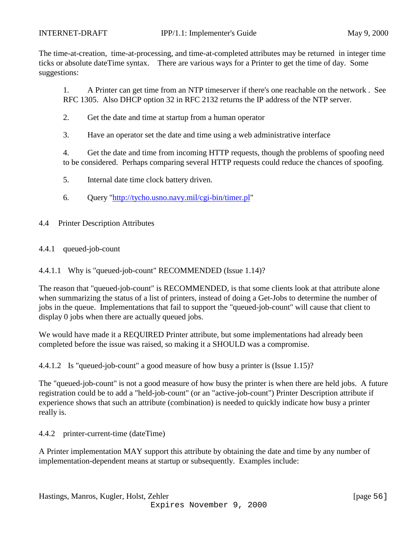<span id="page-55-0"></span>The time-at-creation, time-at-processing, and time-at-completed attributes may be returned in integer time ticks or absolute dateTime syntax. There are various ways for a Printer to get the time of day. Some suggestions:

1. A Printer can get time from an NTP timeserver if there's one reachable on the network . See RFC 1305. Also DHCP option 32 in RFC 2132 returns the IP address of the NTP server.

- 2. Get the date and time at startup from a human operator
- 3. Have an operator set the date and time using a web administrative interface

4. Get the date and time from incoming HTTP requests, though the problems of spoofing need to be considered. Perhaps comparing several HTTP requests could reduce the chances of spoofing.

- 5. Internal date time clock battery driven.
- 6. Query "http://tycho.usno.navy.mil/cgi-bin/timer.pl"
- 4.4 Printer Description Attributes
- 4.4.1 queued-job-count

4.4.1.1 Why is "queued-job-count" RECOMMENDED (Issue 1.14)?

The reason that "queued-job-count" is RECOMMENDED, is that some clients look at that attribute alone when summarizing the status of a list of printers, instead of doing a Get-Jobs to determine the number of jobs in the queue. Implementations that fail to support the "queued-job-count" will cause that client to display 0 jobs when there are actually queued jobs.

We would have made it a REQUIRED Printer attribute, but some implementations had already been completed before the issue was raised, so making it a SHOULD was a compromise.

4.4.1.2 Is "queued-job-count" a good measure of how busy a printer is (Issue 1.15)?

The "queued-job-count" is not a good measure of how busy the printer is when there are held jobs. A future registration could be to add a "held-job-count" (or an "active-job-count") Printer Description attribute if experience shows that such an attribute (combination) is needed to quickly indicate how busy a printer really is.

4.4.2 printer-current-time (dateTime)

A Printer implementation MAY support this attribute by obtaining the date and time by any number of implementation-dependent means at startup or subsequently. Examples include: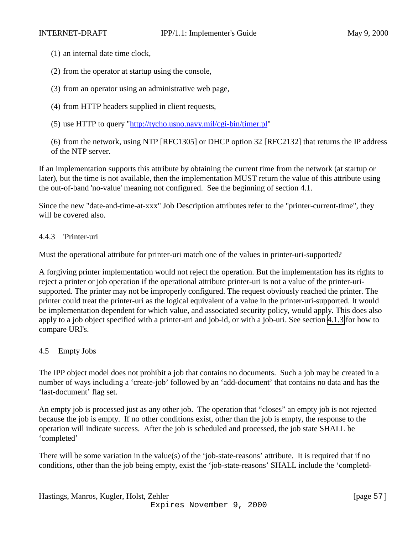<span id="page-56-0"></span>(1) an internal date time clock,

- (2) from the operator at startup using the console,
- (3) from an operator using an administrative web page,
- (4) from HTTP headers supplied in client requests,
- (5) use HTTP to query "http://tycho.usno.navy.mil/cgi-bin/timer.pl"

(6) from the network, using NTP [RFC1305] or DHCP option 32 [RFC2132] that returns the IP address of the NTP server.

If an implementation supports this attribute by obtaining the current time from the network (at startup or later), but the time is not available, then the implementation MUST return the value of this attribute using the out-of-band 'no-value' meaning not configured. See the beginning of section 4.1.

Since the new "date-and-time-at-xxx" Job Description attributes refer to the "printer-current-time", they will be covered also.

## 4.4.3 'Printer-uri

Must the operational attribute for printer-uri match one of the values in printer-uri-supported?

A forgiving printer implementation would not reject the operation. But the implementation has its rights to reject a printer or job operation if the operational attribute printer-uri is not a value of the printer-urisupported. The printer may not be improperly configured. The request obviously reached the printer. The printer could treat the printer-uri as the logical equivalent of a value in the printer-uri-supported. It would be implementation dependent for which value, and associated security policy, would apply. This does also apply to a job object specified with a printer-uri and job-id, or with a job-uri. See section [4.1.3](#page-53-0) for how to compare URI's.

## 4.5 Empty Jobs

The IPP object model does not prohibit a job that contains no documents. Such a job may be created in a number of ways including a 'create-job' followed by an 'add-document' that contains no data and has the 'last-document' flag set.

An empty job is processed just as any other job. The operation that "closes" an empty job is not rejected because the job is empty. If no other conditions exist, other than the job is empty, the response to the operation will indicate success. After the job is scheduled and processed, the job state SHALL be 'completed'

There will be some variation in the value(s) of the 'job-state-reasons' attribute. It is required that if no conditions, other than the job being empty, exist the 'job-state-reasons' SHALL include the 'completd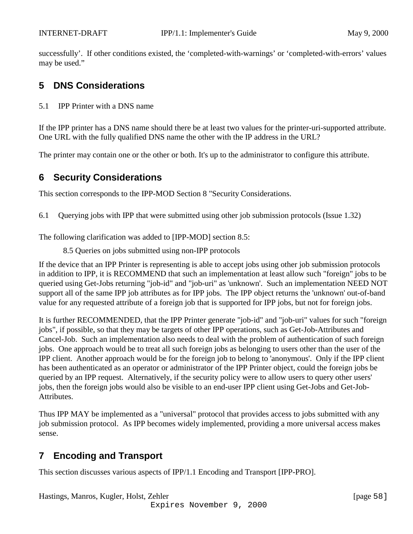<span id="page-57-0"></span>successfully'. If other conditions existed, the 'completed-with-warnings' or 'completed-with-errors' values may be used."

# **5 DNS Considerations**

5.1 IPP Printer with a DNS name

If the IPP printer has a DNS name should there be at least two values for the printer-uri-supported attribute. One URL with the fully qualified DNS name the other with the IP address in the URL?

The printer may contain one or the other or both. It's up to the administrator to configure this attribute.

# **6 Security Considerations**

This section corresponds to the IPP-MOD Section 8 "Security Considerations.

6.1 Querying jobs with IPP that were submitted using other job submission protocols (Issue 1.32)

The following clarification was added to [IPP-MOD] section 8.5:

8.5 Queries on jobs submitted using non-IPP protocols

If the device that an IPP Printer is representing is able to accept jobs using other job submission protocols in addition to IPP, it is RECOMMEND that such an implementation at least allow such "foreign" jobs to be queried using Get-Jobs returning "job-id" and "job-uri" as 'unknown'. Such an implementation NEED NOT support all of the same IPP job attributes as for IPP jobs. The IPP object returns the 'unknown' out-of-band value for any requested attribute of a foreign job that is supported for IPP jobs, but not for foreign jobs.

It is further RECOMMENDED, that the IPP Printer generate "job-id" and "job-uri" values for such "foreign jobs", if possible, so that they may be targets of other IPP operations, such as Get-Job-Attributes and Cancel-Job. Such an implementation also needs to deal with the problem of authentication of such foreign jobs. One approach would be to treat all such foreign jobs as belonging to users other than the user of the IPP client. Another approach would be for the foreign job to belong to 'anonymous'. Only if the IPP client has been authenticated as an operator or administrator of the IPP Printer object, could the foreign jobs be queried by an IPP request. Alternatively, if the security policy were to allow users to query other users' jobs, then the foreign jobs would also be visible to an end-user IPP client using Get-Jobs and Get-Job-Attributes.

Thus IPP MAY be implemented as a "universal" protocol that provides access to jobs submitted with any job submission protocol. As IPP becomes widely implemented, providing a more universal access makes sense.

# **7 Encoding and Transport**

This section discusses various aspects of IPP/1.1 Encoding and Transport [IPP-PRO].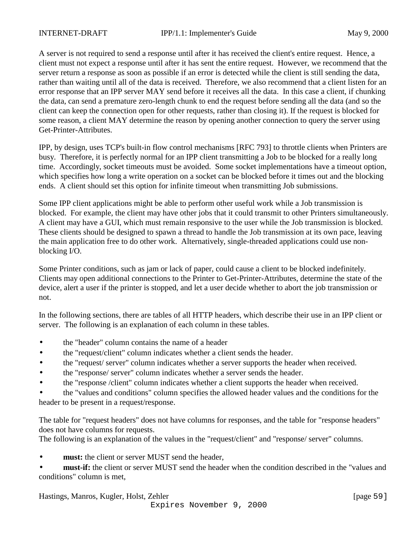A server is not required to send a response until after it has received the client's entire request. Hence, a client must not expect a response until after it has sent the entire request. However, we recommend that the server return a response as soon as possible if an error is detected while the client is still sending the data, rather than waiting until all of the data is received. Therefore, we also recommend that a client listen for an error response that an IPP server MAY send before it receives all the data. In this case a client, if chunking the data, can send a premature zero-length chunk to end the request before sending all the data (and so the client can keep the connection open for other requests, rather than closing it). If the request is blocked for some reason, a client MAY determine the reason by opening another connection to query the server using Get-Printer-Attributes.

IPP, by design, uses TCP's built-in flow control mechanisms [RFC 793] to throttle clients when Printers are busy. Therefore, it is perfectly normal for an IPP client transmitting a Job to be blocked for a really long time. Accordingly, socket timeouts must be avoided. Some socket implementations have a timeout option, which specifies how long a write operation on a socket can be blocked before it times out and the blocking ends. A client should set this option for infinite timeout when transmitting Job submissions.

Some IPP client applications might be able to perform other useful work while a Job transmission is blocked. For example, the client may have other jobs that it could transmit to other Printers simultaneously. A client may have a GUI, which must remain responsive to the user while the Job transmission is blocked. These clients should be designed to spawn a thread to handle the Job transmission at its own pace, leaving the main application free to do other work. Alternatively, single-threaded applications could use nonblocking I/O.

Some Printer conditions, such as jam or lack of paper, could cause a client to be blocked indefinitely. Clients may open additional connections to the Printer to Get-Printer-Attributes, determine the state of the device, alert a user if the printer is stopped, and let a user decide whether to abort the job transmission or not.

In the following sections, there are tables of all HTTP headers, which describe their use in an IPP client or server. The following is an explanation of each column in these tables.

- the "header" column contains the name of a header
- the "request/client" column indicates whether a client sends the header.
- the "request/ server" column indicates whether a server supports the header when received.
- the "response/ server" column indicates whether a server sends the header.
- the "response /client" column indicates whether a client supports the header when received.

• the "values and conditions" column specifies the allowed header values and the conditions for the header to be present in a request/response.

The table for "request headers" does not have columns for responses, and the table for "response headers" does not have columns for requests.

The following is an explanation of the values in the "request/client" and "response/ server" columns.

**must:** the client or server MUST send the header,

• **must-if:** the client or server MUST send the header when the condition described in the "values and conditions" column is met,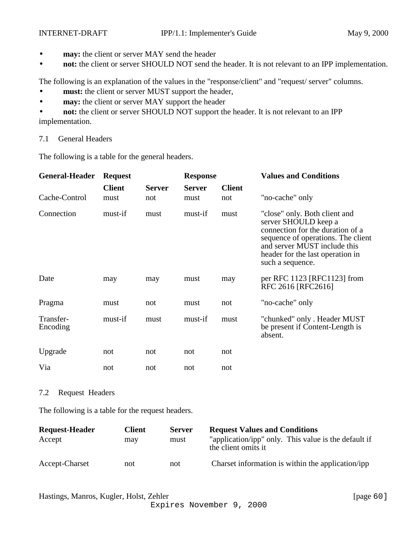- <span id="page-59-0"></span>• **may:** the client or server MAY send the header
- **not:** the client or server SHOULD NOT send the header. It is not relevant to an IPP implementation.

The following is an explanation of the values in the "response/client" and "request/ server" columns.

- **must:** the client or server MUST support the header,
- **may:** the client or server MAY support the header

• **not:** the client or server SHOULD NOT support the header. It is not relevant to an IPP implementation.

7.1 General Headers

The following is a table for the general headers.

| <b>General-Header</b> | <b>Request</b>        |                      | <b>Response</b>       |                      | <b>Values and Conditions</b>                                                                                                                                                                                            |  |
|-----------------------|-----------------------|----------------------|-----------------------|----------------------|-------------------------------------------------------------------------------------------------------------------------------------------------------------------------------------------------------------------------|--|
| Cache-Control         | <b>Client</b><br>must | <b>Server</b><br>not | <b>Server</b><br>must | <b>Client</b><br>not | "no-cache" only                                                                                                                                                                                                         |  |
| Connection            | must-if               | must                 | must-if               | must                 | "close" only. Both client and<br>server SHOULD keep a<br>connection for the duration of a<br>sequence of operations. The client<br>and server MUST include this<br>header for the last operation in<br>such a sequence. |  |
| Date                  | may                   | may                  | must                  | may                  | per RFC 1123 [RFC1123] from<br>RFC 2616 [RFC2616]                                                                                                                                                                       |  |
| Pragma                | must                  | not                  | must                  | not                  | "no-cache" only                                                                                                                                                                                                         |  |
| Transfer-<br>Encoding | must-if               | must                 | must-if               | must                 | "chunked" only . Header MUST<br>be present if Content-Length is<br>absent.                                                                                                                                              |  |
| Upgrade               | not                   | not                  | not                   | not                  |                                                                                                                                                                                                                         |  |
| Via                   | not                   | not                  | not                   | not                  |                                                                                                                                                                                                                         |  |

## 7.2 Request Headers

The following is a table for the request headers.

| <b>Request-Header</b> | <b>Client</b> | <b>Server</b> | <b>Request Values and Conditions</b>                                        |
|-----------------------|---------------|---------------|-----------------------------------------------------------------------------|
| Accept                | may           | must          | "application/ipp" only. This value is the default if<br>the client omits it |
| Accept-Charset        | not           | not           | Charset information is within the application/ipp                           |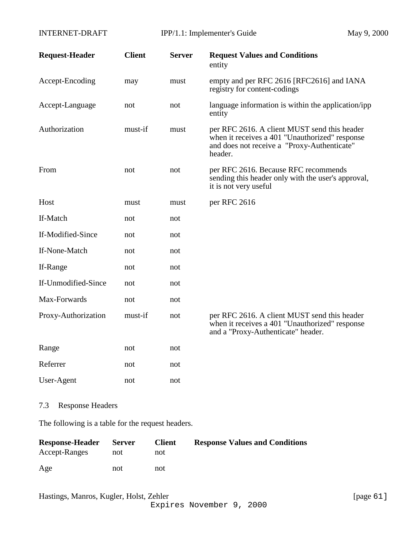<span id="page-60-0"></span>

| <b>Request-Header</b> | <b>Client</b> | <b>Server</b> | <b>Request Values and Conditions</b><br>entity                                                                                                           |
|-----------------------|---------------|---------------|----------------------------------------------------------------------------------------------------------------------------------------------------------|
| Accept-Encoding       | may           | must          | empty and per RFC 2616 [RFC2616] and IANA<br>registry for content-codings                                                                                |
| Accept-Language       | not           | not           | language information is within the application/ipp<br>entity                                                                                             |
| Authorization         | must-if       | must          | per RFC 2616. A client MUST send this header<br>when it receives a 401 "Unauthorized" response<br>and does not receive a "Proxy-Authenticate"<br>header. |
| From                  | not           | not           | per RFC 2616. Because RFC recommends<br>sending this header only with the user's approval,<br>it is not very useful                                      |
| Host                  | must          | must          | per RFC 2616                                                                                                                                             |
| If-Match              | not           | not           |                                                                                                                                                          |
| If-Modified-Since     | not           | not           |                                                                                                                                                          |
| If-None-Match         | not           | not           |                                                                                                                                                          |
| If-Range              | not           | not           |                                                                                                                                                          |
| If-Unmodified-Since   | not           | not           |                                                                                                                                                          |
| Max-Forwards          | not           | not           |                                                                                                                                                          |
| Proxy-Authorization   | must-if       | not           | per RFC 2616. A client MUST send this header<br>when it receives a 401 "Unauthorized" response<br>and a "Proxy-Authenticate" header.                     |
| Range                 | not           | not           |                                                                                                                                                          |
| Referrer              | not           | not           |                                                                                                                                                          |
| User-Agent            | not           | not           |                                                                                                                                                          |

# 7.3 Response Headers

The following is a table for the request headers.

| <b>Response-Header</b> | <b>Server</b> | <b>Client</b> | <b>Response Values and Conditions</b> |
|------------------------|---------------|---------------|---------------------------------------|
| Accept-Ranges          | not           | not           |                                       |
| Age                    | not           | not           |                                       |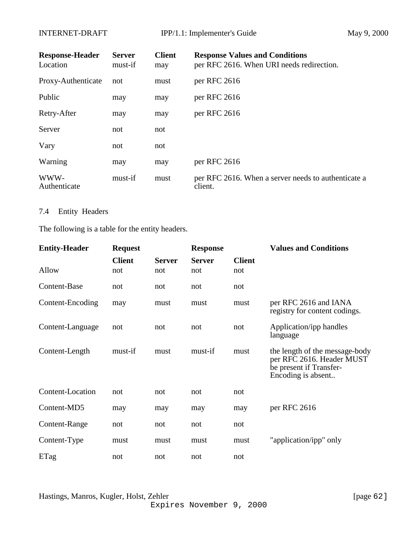<span id="page-61-0"></span>

| <b>Response-Header</b><br>Location | <b>Server</b><br>must-if | <b>Client</b><br>may | <b>Response Values and Conditions</b><br>per RFC 2616. When URI needs redirection. |
|------------------------------------|--------------------------|----------------------|------------------------------------------------------------------------------------|
| Proxy-Authenticate                 | not                      | must                 | per RFC 2616                                                                       |
| Public                             | may                      | may                  | per RFC 2616                                                                       |
| Retry-After                        | may                      | may                  | per RFC 2616                                                                       |
| Server                             | not                      | not                  |                                                                                    |
| Vary                               | not                      | not                  |                                                                                    |
| Warning                            | may                      | may                  | per RFC 2616                                                                       |
| WWW-<br>Authenticate               | must-if                  | must                 | per RFC 2616. When a server needs to authenticate a<br>client.                     |

# 7.4 Entity Headers

The following is a table for the entity headers.

| <b>Entity-Header</b> | <b>Request</b>       |                      | <b>Response</b>      |                      | <b>Values and Conditions</b>                                                                                 |  |
|----------------------|----------------------|----------------------|----------------------|----------------------|--------------------------------------------------------------------------------------------------------------|--|
| Allow                | <b>Client</b><br>not | <b>Server</b><br>not | <b>Server</b><br>not | <b>Client</b><br>not |                                                                                                              |  |
| Content-Base         | not                  | not                  | not                  | not                  |                                                                                                              |  |
| Content-Encoding     | may                  | must                 | must                 | must                 | per RFC 2616 and IANA<br>registry for content codings.                                                       |  |
| Content-Language     | not                  | not                  | not                  | not                  | Application/ipp handles<br>language                                                                          |  |
| Content-Length       | must-if              | must                 | must-if              | must                 | the length of the message-body<br>per RFC 2616. Header MUST<br>be present if Transfer-<br>Encoding is absent |  |
| Content-Location     | not                  | not                  | not                  | not                  |                                                                                                              |  |
| Content-MD5          | may                  | may                  | may                  | may                  | per RFC 2616                                                                                                 |  |
| Content-Range        | not                  | not                  | not                  | not                  |                                                                                                              |  |
| Content-Type         | must                 | must                 | must                 | must                 | "application/ipp" only                                                                                       |  |
| ETag                 | not                  | not                  | not                  | not                  |                                                                                                              |  |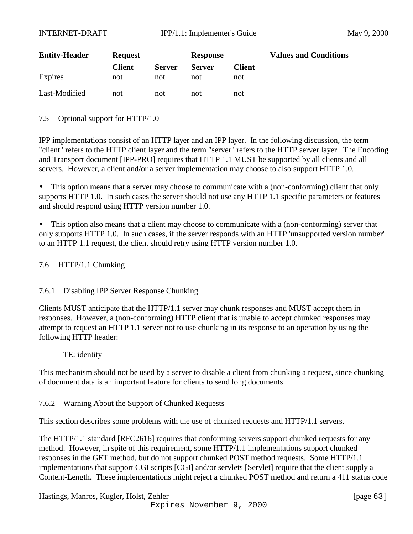<span id="page-62-0"></span>

| <b>Entity-Header</b> | <b>Request</b> |               | <b>Response</b> |               | <b>Values and Conditions</b> |
|----------------------|----------------|---------------|-----------------|---------------|------------------------------|
|                      | <b>Client</b>  | <b>Server</b> | <b>Server</b>   | <b>Client</b> |                              |
| Expires              | not            | not           | not             | not           |                              |
| Last-Modified        | not            | not           | not             | not           |                              |

# 7.5 Optional support for HTTP/1.0

IPP implementations consist of an HTTP layer and an IPP layer. In the following discussion, the term "client" refers to the HTTP client layer and the term "server" refers to the HTTP server layer. The Encoding and Transport document [IPP-PRO] requires that HTTP 1.1 MUST be supported by all clients and all servers. However, a client and/or a server implementation may choose to also support HTTP 1.0.

• This option means that a server may choose to communicate with a (non-conforming) client that only supports HTTP 1.0. In such cases the server should not use any HTTP 1.1 specific parameters or features and should respond using HTTP version number 1.0.

• This option also means that a client may choose to communicate with a (non-conforming) server that only supports HTTP 1.0. In such cases, if the server responds with an HTTP 'unsupported version number' to an HTTP 1.1 request, the client should retry using HTTP version number 1.0.

# 7.6 HTTP/1.1 Chunking

## 7.6.1 Disabling IPP Server Response Chunking

Clients MUST anticipate that the HTTP/1.1 server may chunk responses and MUST accept them in responses. However, a (non-conforming) HTTP client that is unable to accept chunked responses may attempt to request an HTTP 1.1 server not to use chunking in its response to an operation by using the following HTTP header:

## TE: identity

This mechanism should not be used by a server to disable a client from chunking a request, since chunking of document data is an important feature for clients to send long documents.

## 7.6.2 Warning About the Support of Chunked Requests

This section describes some problems with the use of chunked requests and HTTP/1.1 servers.

The HTTP/1.1 standard [RFC2616] requires that conforming servers support chunked requests for any method. However, in spite of this requirement, some HTTP/1.1 implementations support chunked responses in the GET method, but do not support chunked POST method requests. Some HTTP/1.1 implementations that support CGI scripts [CGI] and/or servlets [Servlet] require that the client supply a Content-Length. These implementations might reject a chunked POST method and return a 411 status code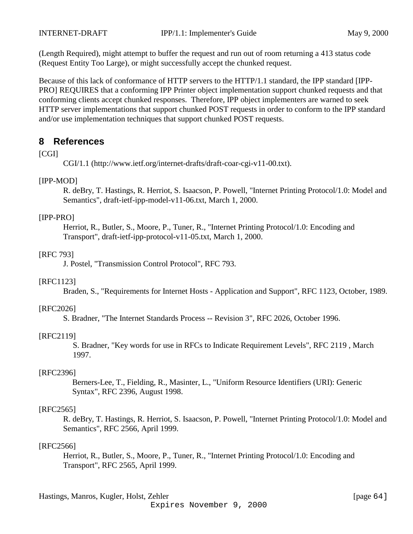<span id="page-63-0"></span>(Length Required), might attempt to buffer the request and run out of room returning a 413 status code (Request Entity Too Large), or might successfully accept the chunked request.

Because of this lack of conformance of HTTP servers to the HTTP/1.1 standard, the IPP standard [IPP-PRO] REQUIRES that a conforming IPP Printer object implementation support chunked requests and that conforming clients accept chunked responses. Therefore, IPP object implementers are warned to seek HTTP server implementations that support chunked POST requests in order to conform to the IPP standard and/or use implementation techniques that support chunked POST requests.

# **8 References**

# [CGI]

CGI/1.1 (http://www.ietf.org/internet-drafts/draft-coar-cgi-v11-00.txt).

# [IPP-MOD]

 R. deBry, T. Hastings, R. Herriot, S. Isaacson, P. Powell, "Internet Printing Protocol/1.0: Model and Semantics", draft-ietf-ipp-model-v11-06.txt, March 1, 2000.

## [IPP-PRO]

Herriot, R., Butler, S., Moore, P., Tuner, R., "Internet Printing Protocol/1.0: Encoding and Transport", draft-ietf-ipp-protocol-v11-05.txt, March 1, 2000.

## [RFC 793]

J. Postel, "Transmission Control Protocol", RFC 793.

## [RFC1123]

Braden, S., "Requirements for Internet Hosts - Application and Support", RFC 1123, October, 1989.

## [RFC2026]

S. Bradner, "The Internet Standards Process -- Revision 3", RFC 2026, October 1996.

## [RFC2119]

S. Bradner, "Key words for use in RFCs to Indicate Requirement Levels", RFC 2119 , March 1997.

## [RFC2396]

Berners-Lee, T., Fielding, R., Masinter, L., "Uniform Resource Identifiers (URI): Generic Syntax", RFC 2396, August 1998.

## [RFC2565]

 R. deBry, T. Hastings, R. Herriot, S. Isaacson, P. Powell, "Internet Printing Protocol/1.0: Model and Semantics", RFC 2566, April 1999.

## [RFC2566]

Herriot, R., Butler, S., Moore, P., Tuner, R., "Internet Printing Protocol/1.0: Encoding and Transport", RFC 2565, April 1999.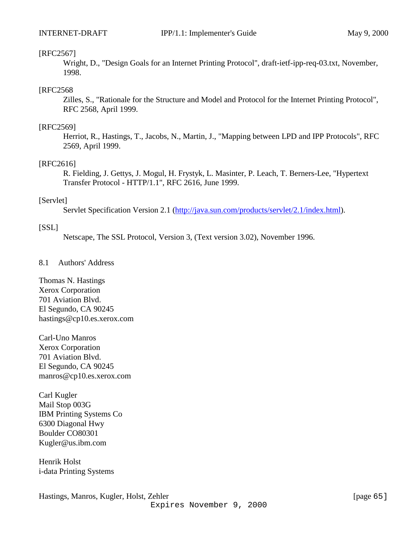## <span id="page-64-0"></span>[RFC2567]

Wright, D., "Design Goals for an Internet Printing Protocol", draft-ietf-ipp-req-03.txt, November, 1998.

# [RFC2568

Zilles, S., "Rationale for the Structure and Model and Protocol for the Internet Printing Protocol", RFC 2568, April 1999.

#### [RFC2569]

Herriot, R., Hastings, T., Jacobs, N., Martin, J., "Mapping between LPD and IPP Protocols", RFC 2569, April 1999.

## [RFC2616]

R. Fielding, J. Gettys, J. Mogul, H. Frystyk, L. Masinter, P. Leach, T. Berners-Lee, "Hypertext Transfer Protocol - HTTP/1.1", RFC 2616, June 1999.

## [Servlet]

Servlet Specification Version 2.1 (http://java.sun.com/products/servlet/2.1/index.html).

## [SSL]

Netscape, The SSL Protocol, Version 3, (Text version 3.02), November 1996.

#### 8.1 Authors' Address

Thomas N. Hastings Xerox Corporation 701 Aviation Blvd. El Segundo, CA 90245 hastings@cp10.es.xerox.com

Carl-Uno Manros Xerox Corporation 701 Aviation Blvd. El Segundo, CA 90245 manros@cp10.es.xerox.com

Carl Kugler Mail Stop 003G IBM Printing Systems Co 6300 Diagonal Hwy Boulder CO80301 Kugler@us.ibm.com

Henrik Holst i-data Printing Systems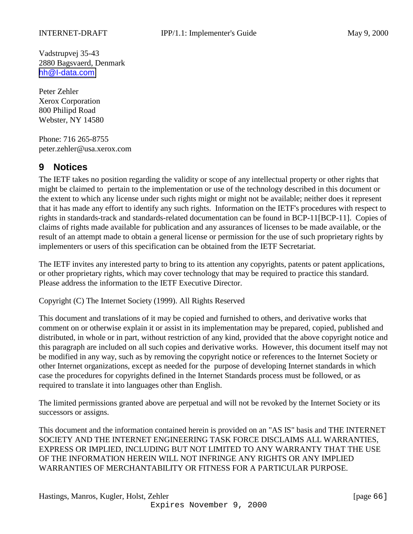<span id="page-65-0"></span>Vadstrupvej 35-43 2880 Bagsvaerd, Denmark [hh@I-data.com](mailto:hh@I-data.com)

Peter Zehler Xerox Corporation 800 Philipd Road Webster, NY 14580

Phone: 716 265-8755 peter.zehler@usa.xerox.com

# **9 Notices**

The IETF takes no position regarding the validity or scope of any intellectual property or other rights that might be claimed to pertain to the implementation or use of the technology described in this document or the extent to which any license under such rights might or might not be available; neither does it represent that it has made any effort to identify any such rights. Information on the IETF's procedures with respect to rights in standards-track and standards-related documentation can be found in BCP-11[BCP-11]. Copies of claims of rights made available for publication and any assurances of licenses to be made available, or the result of an attempt made to obtain a general license or permission for the use of such proprietary rights by implementers or users of this specification can be obtained from the IETF Secretariat.

The IETF invites any interested party to bring to its attention any copyrights, patents or patent applications, or other proprietary rights, which may cover technology that may be required to practice this standard. Please address the information to the IETF Executive Director.

Copyright (C) The Internet Society (1999). All Rights Reserved

This document and translations of it may be copied and furnished to others, and derivative works that comment on or otherwise explain it or assist in its implementation may be prepared, copied, published and distributed, in whole or in part, without restriction of any kind, provided that the above copyright notice and this paragraph are included on all such copies and derivative works. However, this document itself may not be modified in any way, such as by removing the copyright notice or references to the Internet Society or other Internet organizations, except as needed for the purpose of developing Internet standards in which case the procedures for copyrights defined in the Internet Standards process must be followed, or as required to translate it into languages other than English.

The limited permissions granted above are perpetual and will not be revoked by the Internet Society or its successors or assigns.

This document and the information contained herein is provided on an "AS IS" basis and THE INTERNET SOCIETY AND THE INTERNET ENGINEERING TASK FORCE DISCLAIMS ALL WARRANTIES, EXPRESS OR IMPLIED, INCLUDING BUT NOT LIMITED TO ANY WARRANTY THAT THE USE OF THE INFORMATION HEREIN WILL NOT INFRINGE ANY RIGHTS OR ANY IMPLIED WARRANTIES OF MERCHANTABILITY OR FITNESS FOR A PARTICULAR PURPOSE.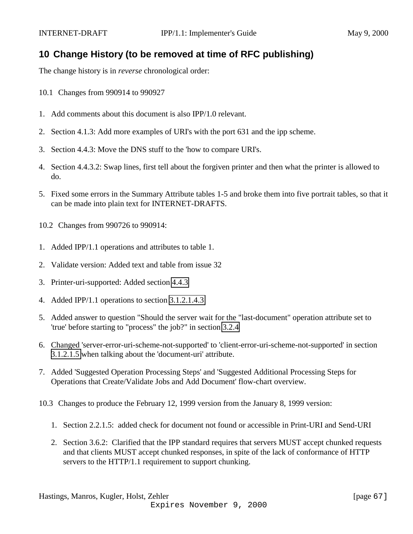# <span id="page-66-0"></span>**10 Change History (to be removed at time of RFC publishing)**

The change history is in *reverse* chronological order:

- 10.1 Changes from 990914 to 990927
- 1. Add comments about this document is also IPP/1.0 relevant.
- 2. Section 4.1.3: Add more examples of URI's with the port 631 and the ipp scheme.
- 3. Section 4.4.3: Move the DNS stuff to the 'how to compare URI's.
- 4. Section 4.4.3.2: Swap lines, first tell about the forgiven printer and then what the printer is allowed to do.
- 5. Fixed some errors in the Summary Attribute tables 1-5 and broke them into five portrait tables, so that it can be made into plain text for INTERNET-DRAFTS.
- 10.2 Changes from 990726 to 990914:
- 1. Added IPP/1.1 operations and attributes to table 1.
- 2. Validate version: Added text and table from issue 32
- 3. Printer-uri-supported: Added section [4.4.3](#page-56-0)
- 4. Added IPP/1.1 operations to section [3.1.2.1.4.3](#page-15-0)
- 5. Added answer to question "Should the server wait for the "last-document" operation attribute set to 'true' before starting to "process" the job?" in section [3.2.4](#page-51-0)
- 6. Changed 'server-error-uri-scheme-not-supported' to 'client-error-uri-scheme-not-supported' in section [3.1.2.1.5](#page-21-0) when talking about the 'document-uri' attribute.
- 7. Added 'Suggested Operation Processing Steps' and 'Suggested Additional Processing Steps for Operations that Create/Validate Jobs and Add Document' flow-chart overview.
- 10.3 Changes to produce the February 12, 1999 version from the January 8, 1999 version:
	- 1. Section 2.2.1.5: added check for document not found or accessible in Print-URI and Send-URI
	- 2. Section 3.6.2: Clarified that the IPP standard requires that servers MUST accept chunked requests and that clients MUST accept chunked responses, in spite of the lack of conformance of HTTP servers to the HTTP/1.1 requirement to support chunking.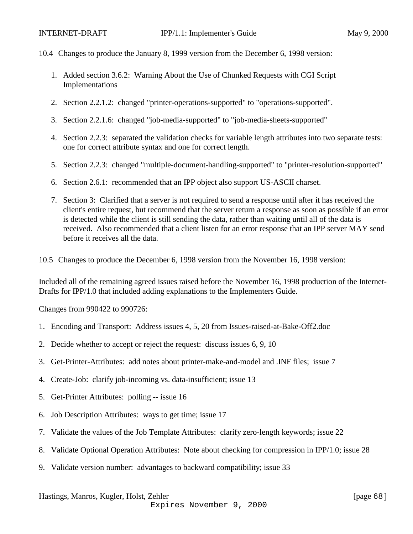- <span id="page-67-0"></span>10.4 Changes to produce the January 8, 1999 version from the December 6, 1998 version:
	- 1. Added section 3.6.2: Warning About the Use of Chunked Requests with CGI Script Implementations
	- 2. Section 2.2.1.2: changed "printer-operations-supported" to "operations-supported".
	- 3. Section 2.2.1.6: changed "job-media-supported" to "job-media-sheets-supported"
	- 4. Section 2.2.3: separated the validation checks for variable length attributes into two separate tests: one for correct attribute syntax and one for correct length.
	- 5. Section 2.2.3: changed "multiple-document-handling-supported" to "printer-resolution-supported"
	- 6. Section 2.6.1: recommended that an IPP object also support US-ASCII charset.
	- 7. Section 3: Clarified that a server is not required to send a response until after it has received the client's entire request, but recommend that the server return a response as soon as possible if an error is detected while the client is still sending the data, rather than waiting until all of the data is received. Also recommended that a client listen for an error response that an IPP server MAY send before it receives all the data.
- 10.5 Changes to produce the December 6, 1998 version from the November 16, 1998 version:

Included all of the remaining agreed issues raised before the November 16, 1998 production of the Internet-Drafts for IPP/1.0 that included adding explanations to the Implementers Guide.

Changes from 990422 to 990726:

- 1. Encoding and Transport: Address issues 4, 5, 20 from Issues-raised-at-Bake-Off2.doc
- 2. Decide whether to accept or reject the request: discuss issues 6, 9, 10
- 3. Get-Printer-Attributes: add notes about printer-make-and-model and .INF files; issue 7
- 4. Create-Job: clarify job-incoming vs. data-insufficient; issue 13
- 5. Get-Printer Attributes: polling -- issue 16
- 6. Job Description Attributes: ways to get time; issue 17
- 7. Validate the values of the Job Template Attributes: clarify zero-length keywords; issue 22
- 8. Validate Optional Operation Attributes: Note about checking for compression in IPP/1.0; issue 28
- 9. Validate version number: advantages to backward compatibility; issue 33